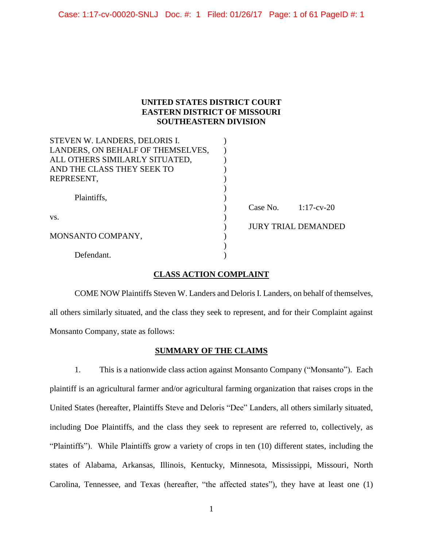Case: 1:17-cv-00020-SNLJ Doc. #: 1 Filed: 01/26/17 Page: 1 of 61 PageID #: 1

## **UNITED STATES DISTRICT COURT EASTERN DISTRICT OF MISSOURI SOUTHEASTERN DIVISION**

| STEVEN W. LANDERS, DELORIS I.     |          |                            |
|-----------------------------------|----------|----------------------------|
| LANDERS, ON BEHALF OF THEMSELVES, |          |                            |
| ALL OTHERS SIMILARLY SITUATED,    |          |                            |
| AND THE CLASS THEY SEEK TO        |          |                            |
| REPRESENT,                        |          |                            |
|                                   |          |                            |
| Plaintiffs,                       |          |                            |
|                                   | Case No. | $1:17$ -cv-20              |
| VS.                               |          |                            |
|                                   |          | <b>JURY TRIAL DEMANDED</b> |
| MONSANTO COMPANY,                 |          |                            |
|                                   |          |                            |
| Defendant.                        |          |                            |

## **CLASS ACTION COMPLAINT**

COME NOW Plaintiffs Steven W. Landers and Deloris I. Landers, on behalf of themselves, all others similarly situated, and the class they seek to represent, and for their Complaint against Monsanto Company, state as follows:

## **SUMMARY OF THE CLAIMS**

1. This is a nationwide class action against Monsanto Company ("Monsanto"). Each plaintiff is an agricultural farmer and/or agricultural farming organization that raises crops in the United States (hereafter, Plaintiffs Steve and Deloris "Dee" Landers, all others similarly situated, including Doe Plaintiffs, and the class they seek to represent are referred to, collectively, as "Plaintiffs"). While Plaintiffs grow a variety of crops in ten (10) different states, including the states of Alabama, Arkansas, Illinois, Kentucky, Minnesota, Mississippi, Missouri, North Carolina, Tennessee, and Texas (hereafter, "the affected states"), they have at least one (1)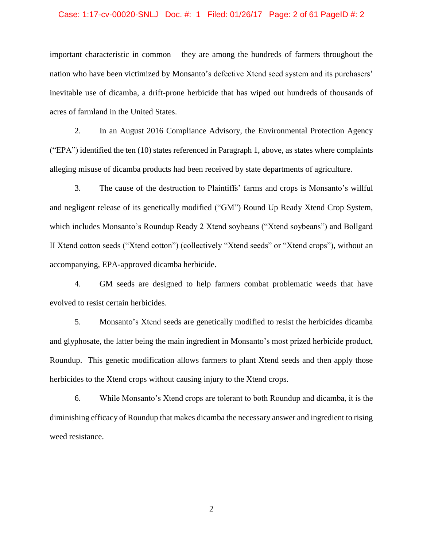## Case: 1:17-cv-00020-SNLJ Doc. #: 1 Filed: 01/26/17 Page: 2 of 61 PageID #: 2

important characteristic in common – they are among the hundreds of farmers throughout the nation who have been victimized by Monsanto's defective Xtend seed system and its purchasers' inevitable use of dicamba, a drift-prone herbicide that has wiped out hundreds of thousands of acres of farmland in the United States.

2. In an August 2016 Compliance Advisory, the Environmental Protection Agency ("EPA") identified the ten (10) states referenced in Paragraph 1, above, as states where complaints alleging misuse of dicamba products had been received by state departments of agriculture.

3. The cause of the destruction to Plaintiffs' farms and crops is Monsanto's willful and negligent release of its genetically modified ("GM") Round Up Ready Xtend Crop System, which includes Monsanto's Roundup Ready 2 Xtend soybeans ("Xtend soybeans") and Bollgard II Xtend cotton seeds ("Xtend cotton") (collectively "Xtend seeds" or "Xtend crops"), without an accompanying, EPA-approved dicamba herbicide.

4. GM seeds are designed to help farmers combat problematic weeds that have evolved to resist certain herbicides.

5. Monsanto's Xtend seeds are genetically modified to resist the herbicides dicamba and glyphosate, the latter being the main ingredient in Monsanto's most prized herbicide product, Roundup. This genetic modification allows farmers to plant Xtend seeds and then apply those herbicides to the Xtend crops without causing injury to the Xtend crops.

6. While Monsanto's Xtend crops are tolerant to both Roundup and dicamba, it is the diminishing efficacy of Roundup that makes dicamba the necessary answer and ingredient to rising weed resistance.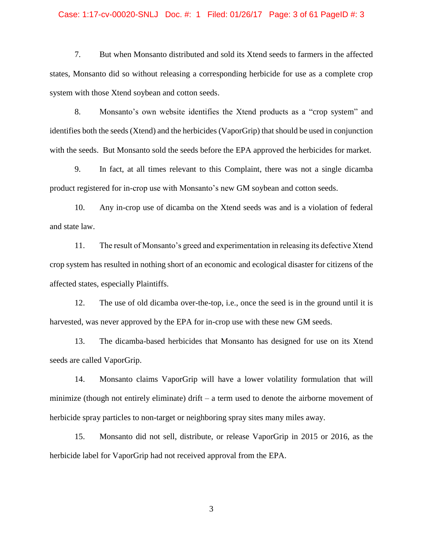## Case: 1:17-cv-00020-SNLJ Doc. #: 1 Filed: 01/26/17 Page: 3 of 61 PageID #: 3

7. But when Monsanto distributed and sold its Xtend seeds to farmers in the affected states, Monsanto did so without releasing a corresponding herbicide for use as a complete crop system with those Xtend soybean and cotton seeds.

8. Monsanto's own website identifies the Xtend products as a "crop system" and identifies both the seeds (Xtend) and the herbicides (VaporGrip) that should be used in conjunction with the seeds. But Monsanto sold the seeds before the EPA approved the herbicides for market.

9. In fact, at all times relevant to this Complaint, there was not a single dicamba product registered for in-crop use with Monsanto's new GM soybean and cotton seeds.

10. Any in-crop use of dicamba on the Xtend seeds was and is a violation of federal and state law.

11. The result of Monsanto's greed and experimentation in releasing its defective Xtend crop system has resulted in nothing short of an economic and ecological disaster for citizens of the affected states, especially Plaintiffs.

12. The use of old dicamba over-the-top, i.e., once the seed is in the ground until it is harvested, was never approved by the EPA for in-crop use with these new GM seeds.

13. The dicamba-based herbicides that Monsanto has designed for use on its Xtend seeds are called VaporGrip.

14. Monsanto claims VaporGrip will have a lower volatility formulation that will minimize (though not entirely eliminate) drift – a term used to denote the airborne movement of herbicide spray particles to non-target or neighboring spray sites many miles away.

15. Monsanto did not sell, distribute, or release VaporGrip in 2015 or 2016, as the herbicide label for VaporGrip had not received approval from the EPA.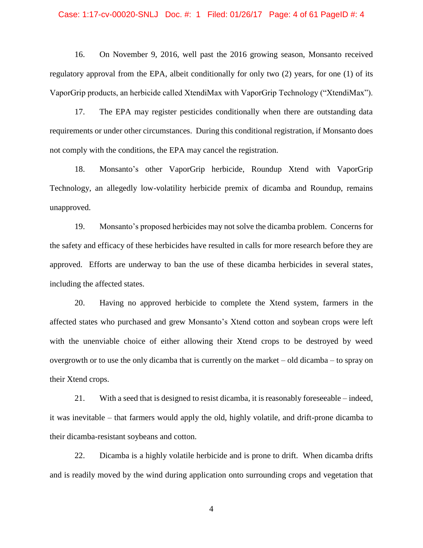## Case: 1:17-cv-00020-SNLJ Doc. #: 1 Filed: 01/26/17 Page: 4 of 61 PageID #: 4

16. On November 9, 2016, well past the 2016 growing season, Monsanto received regulatory approval from the EPA, albeit conditionally for only two (2) years, for one (1) of its VaporGrip products, an herbicide called XtendiMax with VaporGrip Technology ("XtendiMax").

17. The EPA may register pesticides conditionally when there are outstanding data requirements or under other circumstances. During this conditional registration, if Monsanto does not comply with the conditions, the EPA may cancel the registration.

18. Monsanto's other VaporGrip herbicide, Roundup Xtend with VaporGrip Technology, an allegedly low-volatility herbicide premix of dicamba and Roundup, remains unapproved.

19. Monsanto's proposed herbicides may not solve the dicamba problem. Concerns for the safety and efficacy of these herbicides have resulted in calls for more research before they are approved. Efforts are underway to ban the use of these dicamba herbicides in several states, including the affected states.

20. Having no approved herbicide to complete the Xtend system, farmers in the affected states who purchased and grew Monsanto's Xtend cotton and soybean crops were left with the unenviable choice of either allowing their Xtend crops to be destroyed by weed overgrowth or to use the only dicamba that is currently on the market – old dicamba – to spray on their Xtend crops.

21. With a seed that is designed to resist dicamba, it is reasonably foreseeable – indeed, it was inevitable – that farmers would apply the old, highly volatile, and drift-prone dicamba to their dicamba-resistant soybeans and cotton.

22. Dicamba is a highly volatile herbicide and is prone to drift. When dicamba drifts and is readily moved by the wind during application onto surrounding crops and vegetation that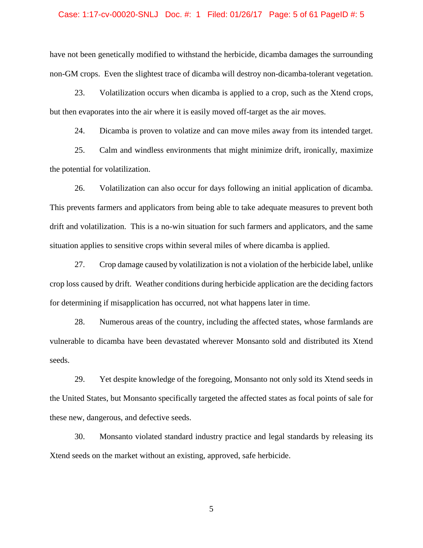## Case: 1:17-cv-00020-SNLJ Doc. #: 1 Filed: 01/26/17 Page: 5 of 61 PageID #: 5

have not been genetically modified to withstand the herbicide, dicamba damages the surrounding non-GM crops. Even the slightest trace of dicamba will destroy non-dicamba-tolerant vegetation.

23. Volatilization occurs when dicamba is applied to a crop, such as the Xtend crops, but then evaporates into the air where it is easily moved off-target as the air moves.

24. Dicamba is proven to volatize and can move miles away from its intended target.

25. Calm and windless environments that might minimize drift, ironically, maximize the potential for volatilization.

26. Volatilization can also occur for days following an initial application of dicamba. This prevents farmers and applicators from being able to take adequate measures to prevent both drift and volatilization. This is a no-win situation for such farmers and applicators, and the same situation applies to sensitive crops within several miles of where dicamba is applied.

27. Crop damage caused by volatilization is not a violation of the herbicide label, unlike crop loss caused by drift. Weather conditions during herbicide application are the deciding factors for determining if misapplication has occurred, not what happens later in time.

28. Numerous areas of the country, including the affected states, whose farmlands are vulnerable to dicamba have been devastated wherever Monsanto sold and distributed its Xtend seeds.

29. Yet despite knowledge of the foregoing, Monsanto not only sold its Xtend seeds in the United States, but Monsanto specifically targeted the affected states as focal points of sale for these new, dangerous, and defective seeds.

30. Monsanto violated standard industry practice and legal standards by releasing its Xtend seeds on the market without an existing, approved, safe herbicide.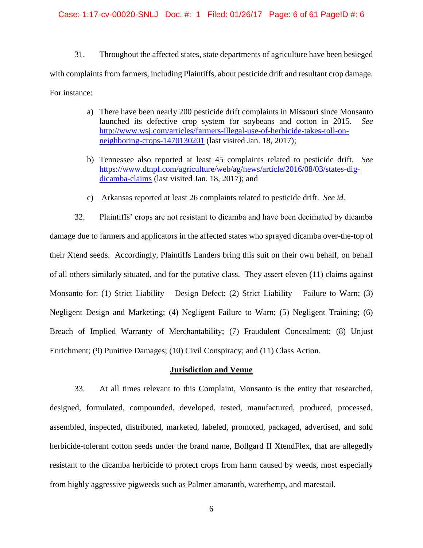# Case: 1:17-cv-00020-SNLJ Doc. #: 1 Filed: 01/26/17 Page: 6 of 61 PageID #: 6

31. Throughout the affected states, state departments of agriculture have been besieged with complaints from farmers, including Plaintiffs, about pesticide drift and resultant crop damage. For instance:

- a) There have been nearly 200 pesticide drift complaints in Missouri since Monsanto launched its defective crop system for soybeans and cotton in 2015. *See*  [http://www.wsj.com/articles/farmers-illegal-use-of-herbicide-takes-toll-on](http://www.wsj.com/articles/farmers-illegal-use-of-herbicide-takes-toll-on-neighboring-crops-1470130201)[neighboring-crops-1470130201](http://www.wsj.com/articles/farmers-illegal-use-of-herbicide-takes-toll-on-neighboring-crops-1470130201) (last visited Jan. 18, 2017);
- b) Tennessee also reported at least 45 complaints related to pesticide drift. *See*  [https://www.dtnpf.com/agriculture/web/ag/news/article/2016/08/03/states-dig](https://www.dtnpf.com/agriculture/web/ag/news/article/2016/08/03/states-dig-dicamba-claims)[dicamba-claims](https://www.dtnpf.com/agriculture/web/ag/news/article/2016/08/03/states-dig-dicamba-claims) (last visited Jan. 18, 2017); and
- c) Arkansas reported at least 26 complaints related to pesticide drift. *See id.*

32. Plaintiffs' crops are not resistant to dicamba and have been decimated by dicamba damage due to farmers and applicators in the affected states who sprayed dicamba over-the-top of their Xtend seeds. Accordingly, Plaintiffs Landers bring this suit on their own behalf, on behalf of all others similarly situated, and for the putative class. They assert eleven (11) claims against Monsanto for: (1) Strict Liability – Design Defect; (2) Strict Liability – Failure to Warn; (3) Negligent Design and Marketing; (4) Negligent Failure to Warn; (5) Negligent Training; (6) Breach of Implied Warranty of Merchantability; (7) Fraudulent Concealment; (8) Unjust Enrichment; (9) Punitive Damages; (10) Civil Conspiracy; and (11) Class Action.

## **Jurisdiction and Venue**

33. At all times relevant to this Complaint, Monsanto is the entity that researched, designed, formulated, compounded, developed, tested, manufactured, produced, processed, assembled, inspected, distributed, marketed, labeled, promoted, packaged, advertised, and sold herbicide-tolerant cotton seeds under the brand name, Bollgard II XtendFlex, that are allegedly resistant to the dicamba herbicide to protect crops from harm caused by weeds, most especially from highly aggressive pigweeds such as Palmer amaranth, waterhemp, and marestail.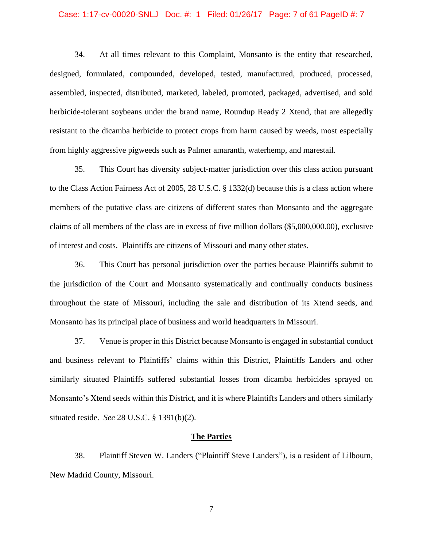## Case: 1:17-cv-00020-SNLJ Doc. #: 1 Filed: 01/26/17 Page: 7 of 61 PageID #: 7

34. At all times relevant to this Complaint, Monsanto is the entity that researched, designed, formulated, compounded, developed, tested, manufactured, produced, processed, assembled, inspected, distributed, marketed, labeled, promoted, packaged, advertised, and sold herbicide-tolerant soybeans under the brand name, Roundup Ready 2 Xtend, that are allegedly resistant to the dicamba herbicide to protect crops from harm caused by weeds, most especially from highly aggressive pigweeds such as Palmer amaranth, waterhemp, and marestail.

35. This Court has diversity subject-matter jurisdiction over this class action pursuant to the Class Action Fairness Act of 2005, 28 U.S.C. § 1332(d) because this is a class action where members of the putative class are citizens of different states than Monsanto and the aggregate claims of all members of the class are in excess of five million dollars (\$5,000,000.00), exclusive of interest and costs. Plaintiffs are citizens of Missouri and many other states.

36. This Court has personal jurisdiction over the parties because Plaintiffs submit to the jurisdiction of the Court and Monsanto systematically and continually conducts business throughout the state of Missouri, including the sale and distribution of its Xtend seeds, and Monsanto has its principal place of business and world headquarters in Missouri.

37. Venue is proper in this District because Monsanto is engaged in substantial conduct and business relevant to Plaintiffs' claims within this District, Plaintiffs Landers and other similarly situated Plaintiffs suffered substantial losses from dicamba herbicides sprayed on Monsanto's Xtend seeds within this District, and it is where Plaintiffs Landers and others similarly situated reside. *See* 28 U.S.C. § 1391(b)(2).

#### **The Parties**

38. Plaintiff Steven W. Landers ("Plaintiff Steve Landers"), is a resident of Lilbourn, New Madrid County, Missouri.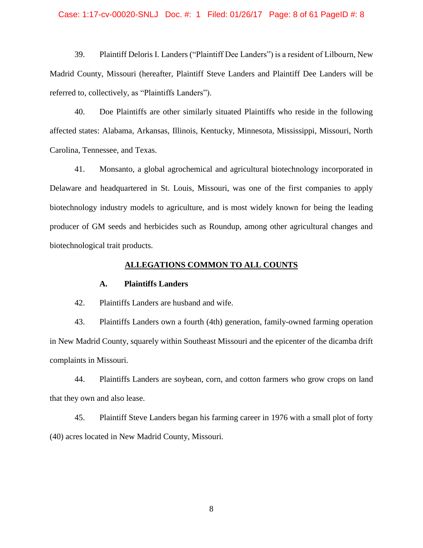## Case: 1:17-cv-00020-SNLJ Doc. #: 1 Filed: 01/26/17 Page: 8 of 61 PageID #: 8

39. Plaintiff Deloris I. Landers ("Plaintiff Dee Landers") is a resident of Lilbourn, New Madrid County, Missouri (hereafter, Plaintiff Steve Landers and Plaintiff Dee Landers will be referred to, collectively, as "Plaintiffs Landers").

40. Doe Plaintiffs are other similarly situated Plaintiffs who reside in the following affected states: Alabama, Arkansas, Illinois, Kentucky, Minnesota, Mississippi, Missouri, North Carolina, Tennessee, and Texas.

41. Monsanto, a global agrochemical and agricultural biotechnology incorporated in Delaware and headquartered in St. Louis, Missouri, was one of the first companies to apply biotechnology industry models to agriculture, and is most widely known for being the leading producer of GM seeds and herbicides such as Roundup, among other agricultural changes and biotechnological trait products.

### **ALLEGATIONS COMMON TO ALL COUNTS**

### **A. Plaintiffs Landers**

42. Plaintiffs Landers are husband and wife.

43. Plaintiffs Landers own a fourth (4th) generation, family-owned farming operation in New Madrid County, squarely within Southeast Missouri and the epicenter of the dicamba drift complaints in Missouri.

44. Plaintiffs Landers are soybean, corn, and cotton farmers who grow crops on land that they own and also lease.

45. Plaintiff Steve Landers began his farming career in 1976 with a small plot of forty (40) acres located in New Madrid County, Missouri.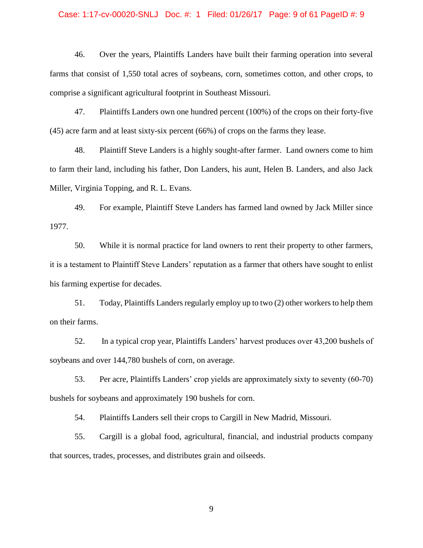## Case: 1:17-cv-00020-SNLJ Doc. #: 1 Filed: 01/26/17 Page: 9 of 61 PageID #: 9

46. Over the years, Plaintiffs Landers have built their farming operation into several farms that consist of 1,550 total acres of soybeans, corn, sometimes cotton, and other crops, to comprise a significant agricultural footprint in Southeast Missouri.

47. Plaintiffs Landers own one hundred percent (100%) of the crops on their forty-five (45) acre farm and at least sixty-six percent (66%) of crops on the farms they lease.

48. Plaintiff Steve Landers is a highly sought-after farmer. Land owners come to him to farm their land, including his father, Don Landers, his aunt, Helen B. Landers, and also Jack Miller, Virginia Topping, and R. L. Evans.

49. For example, Plaintiff Steve Landers has farmed land owned by Jack Miller since 1977.

50. While it is normal practice for land owners to rent their property to other farmers, it is a testament to Plaintiff Steve Landers' reputation as a farmer that others have sought to enlist his farming expertise for decades.

51. Today, Plaintiffs Landers regularly employ up to two (2) other workers to help them on their farms.

52. In a typical crop year, Plaintiffs Landers' harvest produces over 43,200 bushels of soybeans and over 144,780 bushels of corn, on average.

53. Per acre, Plaintiffs Landers' crop yields are approximately sixty to seventy (60-70) bushels for soybeans and approximately 190 bushels for corn.

54. Plaintiffs Landers sell their crops to Cargill in New Madrid, Missouri.

55. Cargill is a global food, agricultural, financial, and industrial products company that sources, trades, processes, and distributes grain and oilseeds.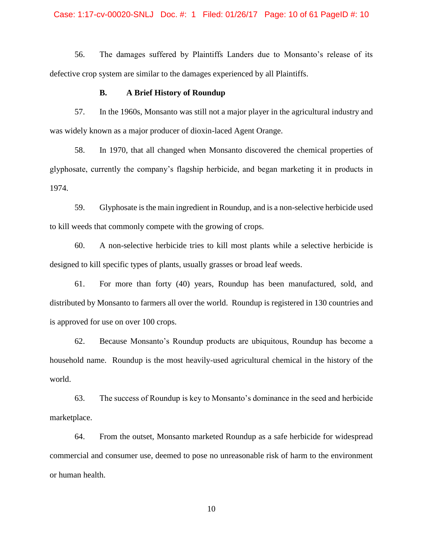## Case: 1:17-cv-00020-SNLJ Doc. #: 1 Filed: 01/26/17 Page: 10 of 61 PageID #: 10

56. The damages suffered by Plaintiffs Landers due to Monsanto's release of its defective crop system are similar to the damages experienced by all Plaintiffs.

## **B. A Brief History of Roundup**

57. In the 1960s, Monsanto was still not a major player in the agricultural industry and was widely known as a major producer of dioxin-laced Agent Orange.

58. In 1970, that all changed when Monsanto discovered the chemical properties of glyphosate, currently the company's flagship herbicide, and began marketing it in products in 1974.

59. Glyphosate is the main ingredient in Roundup, and is a non-selective herbicide used to kill weeds that commonly compete with the growing of crops.

60. A non-selective herbicide tries to kill most plants while a selective herbicide is designed to kill specific types of plants, usually grasses or broad leaf weeds.

61. For more than forty (40) years, Roundup has been manufactured, sold, and distributed by Monsanto to farmers all over the world. Roundup is registered in 130 countries and is approved for use on over 100 crops.

62. Because Monsanto's Roundup products are ubiquitous, Roundup has become a household name. Roundup is the most heavily-used agricultural chemical in the history of the world.

63. The success of Roundup is key to Monsanto's dominance in the seed and herbicide marketplace.

64. From the outset, Monsanto marketed Roundup as a safe herbicide for widespread commercial and consumer use, deemed to pose no unreasonable risk of harm to the environment or human health.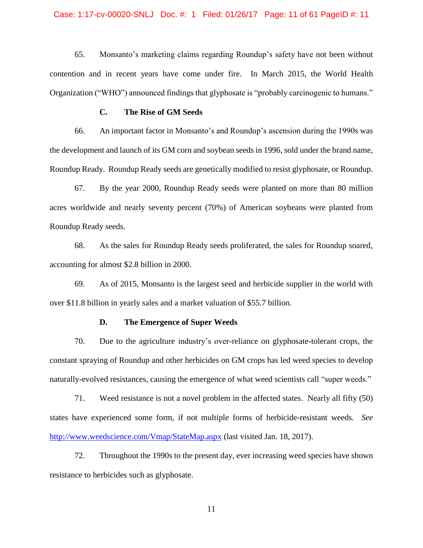#### Case: 1:17-cv-00020-SNLJ Doc. #: 1 Filed: 01/26/17 Page: 11 of 61 PageID #: 11

65. Monsanto's marketing claims regarding Roundup's safety have not been without contention and in recent years have come under fire. In March 2015, the World Health Organization ("WHO") announced findings that glyphosate is "probably carcinogenic to humans."

### **C. The Rise of GM Seeds**

66. An important factor in Monsanto's and Roundup's ascension during the 1990s was the development and launch of its GM corn and soybean seeds in 1996, sold under the brand name, Roundup Ready. Roundup Ready seeds are genetically modified to resist glyphosate, or Roundup.

67. By the year 2000, Roundup Ready seeds were planted on more than 80 million acres worldwide and nearly seventy percent (70%) of American soybeans were planted from Roundup Ready seeds.

68. As the sales for Roundup Ready seeds proliferated, the sales for Roundup soared, accounting for almost \$2.8 billion in 2000.

69. As of 2015, Monsanto is the largest seed and herbicide supplier in the world with over \$11.8 billion in yearly sales and a market valuation of \$55.7 billion.

### **D. The Emergence of Super Weeds**

70. Due to the agriculture industry's over-reliance on glyphosate-tolerant crops, the constant spraying of Roundup and other herbicides on GM crops has led weed species to develop naturally-evolved resistances, causing the emergence of what weed scientists call "super weeds."

71. Weed resistance is not a novel problem in the affected states. Nearly all fifty (50) states have experienced some form, if not multiple forms of herbicide-resistant weeds. *See*  <http://www.weedscience.com/Vmap/StateMap.aspx> (last visited Jan. 18, 2017).

72. Throughout the 1990s to the present day, ever increasing weed species have shown resistance to herbicides such as glyphosate.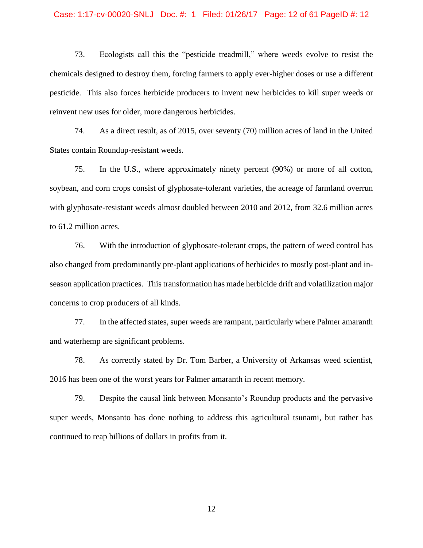## Case: 1:17-cv-00020-SNLJ Doc. #: 1 Filed: 01/26/17 Page: 12 of 61 PageID #: 12

73. Ecologists call this the "pesticide treadmill," where weeds evolve to resist the chemicals designed to destroy them, forcing farmers to apply ever-higher doses or use a different pesticide. This also forces herbicide producers to invent new herbicides to kill super weeds or reinvent new uses for older, more dangerous herbicides.

74. As a direct result, as of 2015, over seventy (70) million acres of land in the United States contain Roundup-resistant weeds.

75. In the U.S., where approximately ninety percent (90%) or more of all cotton, soybean, and corn crops consist of glyphosate-tolerant varieties, the acreage of farmland overrun with glyphosate-resistant weeds almost doubled between 2010 and 2012, from 32.6 million acres to 61.2 million acres.

76. With the introduction of glyphosate-tolerant crops, the pattern of weed control has also changed from predominantly pre-plant applications of herbicides to mostly post-plant and inseason application practices. This transformation has made herbicide drift and volatilization major concerns to crop producers of all kinds.

77. In the affected states, super weeds are rampant, particularly where Palmer amaranth and waterhemp are significant problems.

78. As correctly stated by Dr. Tom Barber, a University of Arkansas weed scientist, 2016 has been one of the worst years for Palmer amaranth in recent memory.

79. Despite the causal link between Monsanto's Roundup products and the pervasive super weeds, Monsanto has done nothing to address this agricultural tsunami, but rather has continued to reap billions of dollars in profits from it.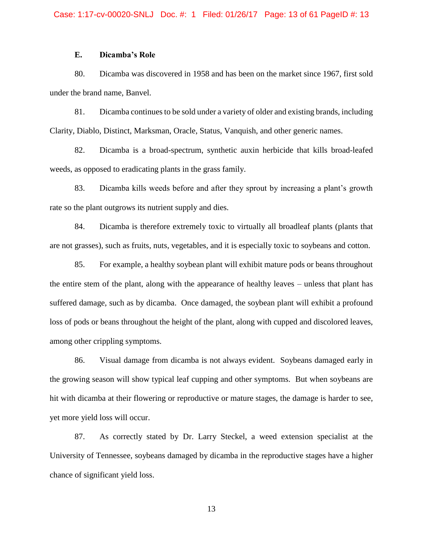## **E. Dicamba's Role**

80. Dicamba was discovered in 1958 and has been on the market since 1967, first sold under the brand name, Banvel.

81. Dicamba continues to be sold under a variety of older and existing brands, including Clarity, Diablo, Distinct, Marksman, Oracle, Status, Vanquish, and other generic names.

82. Dicamba is a broad-spectrum, synthetic auxin herbicide that kills broad-leafed weeds, as opposed to eradicating plants in the grass family.

83. Dicamba kills weeds before and after they sprout by increasing a plant's growth rate so the plant outgrows its nutrient supply and dies.

84. Dicamba is therefore extremely toxic to virtually all broadleaf plants (plants that are not grasses), such as fruits, nuts, vegetables, and it is especially toxic to soybeans and cotton.

85. For example, a healthy soybean plant will exhibit mature pods or beans throughout the entire stem of the plant, along with the appearance of healthy leaves – unless that plant has suffered damage, such as by dicamba. Once damaged, the soybean plant will exhibit a profound loss of pods or beans throughout the height of the plant, along with cupped and discolored leaves, among other crippling symptoms.

86. Visual damage from dicamba is not always evident. Soybeans damaged early in the growing season will show typical leaf cupping and other symptoms. But when soybeans are hit with dicamba at their flowering or reproductive or mature stages, the damage is harder to see, yet more yield loss will occur.

87. As correctly stated by Dr. Larry Steckel, a weed extension specialist at the University of Tennessee, soybeans damaged by dicamba in the reproductive stages have a higher chance of significant yield loss.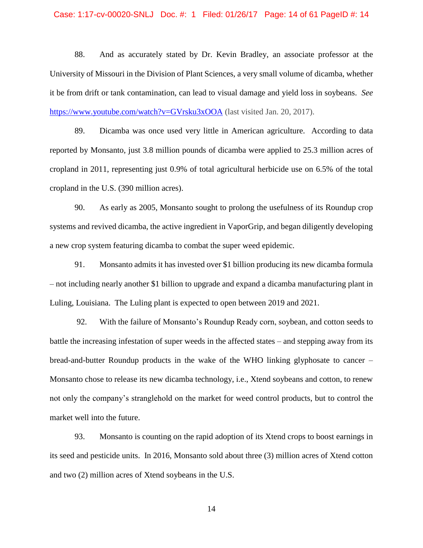### Case: 1:17-cv-00020-SNLJ Doc. #: 1 Filed: 01/26/17 Page: 14 of 61 PageID #: 14

88. And as accurately stated by Dr. Kevin Bradley, an associate professor at the University of Missouri in the Division of Plant Sciences, a very small volume of dicamba, whether it be from drift or tank contamination, can lead to visual damage and yield loss in soybeans. *See*  <https://www.youtube.com/watch?v=GVrsku3xOOA> (last visited Jan. 20, 2017).

89. Dicamba was once used very little in American agriculture. According to data reported by Monsanto, just 3.8 million pounds of dicamba were applied to 25.3 million acres of cropland in 2011, representing just 0.9% of total agricultural herbicide use on 6.5% of the total cropland in the U.S. (390 million acres).

90. As early as 2005, Monsanto sought to prolong the usefulness of its Roundup crop systems and revived dicamba, the active ingredient in VaporGrip, and began diligently developing a new crop system featuring dicamba to combat the super weed epidemic.

91. Monsanto admits it has invested over \$1 billion producing its new dicamba formula – not including nearly another \$1 billion to upgrade and expand a dicamba manufacturing plant in Luling, Louisiana. The Luling plant is expected to open between 2019 and 2021.

92. With the failure of Monsanto's Roundup Ready corn, soybean, and cotton seeds to battle the increasing infestation of super weeds in the affected states – and stepping away from its bread-and-butter Roundup products in the wake of the WHO linking glyphosate to cancer – Monsanto chose to release its new dicamba technology, i.e., Xtend soybeans and cotton, to renew not only the company's stranglehold on the market for weed control products, but to control the market well into the future.

93. Monsanto is counting on the rapid adoption of its Xtend crops to boost earnings in its seed and pesticide units. In 2016, Monsanto sold about three (3) million acres of Xtend cotton and two (2) million acres of Xtend soybeans in the U.S.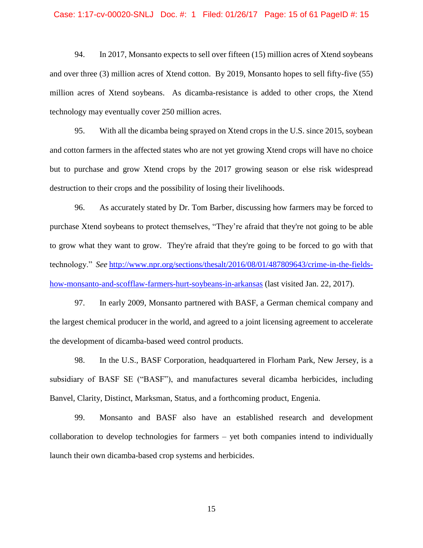#### Case: 1:17-cv-00020-SNLJ Doc. #: 1 Filed: 01/26/17 Page: 15 of 61 PageID #: 15

94. In 2017, Monsanto expects to sell over fifteen (15) million acres of Xtend soybeans and over three (3) million acres of Xtend cotton. By 2019, Monsanto hopes to sell fifty-five (55) million acres of Xtend soybeans. As dicamba-resistance is added to other crops, the Xtend technology may eventually cover 250 million acres.

95. With all the dicamba being sprayed on Xtend crops in the U.S. since 2015, soybean and cotton farmers in the affected states who are not yet growing Xtend crops will have no choice but to purchase and grow Xtend crops by the 2017 growing season or else risk widespread destruction to their crops and the possibility of losing their livelihoods.

96. As accurately stated by Dr. Tom Barber, discussing how farmers may be forced to purchase Xtend soybeans to protect themselves, "They're afraid that they're not going to be able to grow what they want to grow. They're afraid that they're going to be forced to go with that technology." *See* [http://www.npr.org/sections/thesalt/2016/08/01/487809643/crime-in-the-fields](http://www.npr.org/sections/thesalt/2016/08/01/487809643/crime-in-the-fields-how-monsanto-and-scofflaw-farmers-hurt-soybeans-in-arkansas)[how-monsanto-and-scofflaw-farmers-hurt-soybeans-in-arkansas](http://www.npr.org/sections/thesalt/2016/08/01/487809643/crime-in-the-fields-how-monsanto-and-scofflaw-farmers-hurt-soybeans-in-arkansas) (last visited Jan. 22, 2017).

97. In early 2009, Monsanto partnered with BASF, a German chemical company and the largest chemical producer in the world, and agreed to a joint licensing agreement to accelerate the development of dicamba-based weed control products.

98. In the U.S., BASF Corporation, headquartered in Florham Park, New Jersey, is a subsidiary of BASF SE ("BASF"), and manufactures several dicamba herbicides, including Banvel, Clarity, Distinct, Marksman, Status, and a forthcoming product, Engenia.

99. Monsanto and BASF also have an established research and development collaboration to develop technologies for farmers – yet both companies intend to individually launch their own dicamba-based crop systems and herbicides.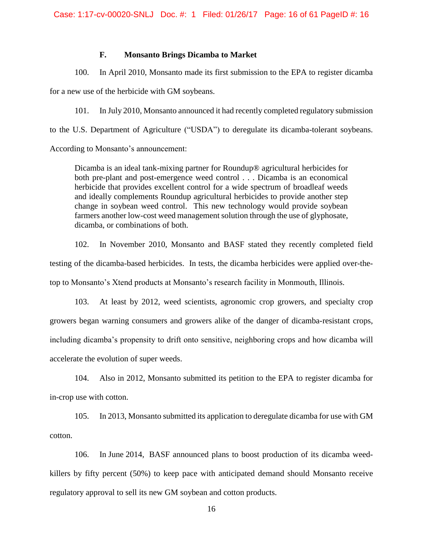## **F. Monsanto Brings Dicamba to Market**

100. In April 2010, Monsanto made its first submission to the EPA to register dicamba

for a new use of the herbicide with GM soybeans.

101. In July 2010, Monsanto announced it had recently completed regulatory submission to the U.S. Department of Agriculture ("USDA") to deregulate its dicamba-tolerant soybeans. According to Monsanto's announcement:

Dicamba is an ideal tank-mixing partner for Roundup® agricultural herbicides for both pre-plant and post-emergence weed control . . . Dicamba is an economical herbicide that provides excellent control for a wide spectrum of broadleaf weeds and ideally complements Roundup agricultural herbicides to provide another step change in soybean weed control. This new technology would provide soybean farmers another low-cost weed management solution through the use of glyphosate, dicamba, or combinations of both.

102. In November 2010, Monsanto and BASF stated they recently completed field testing of the dicamba-based herbicides. In tests, the dicamba herbicides were applied over-thetop to Monsanto's Xtend products at Monsanto's research facility in Monmouth, Illinois.

103. At least by 2012, weed scientists, agronomic crop growers, and specialty crop growers began warning consumers and growers alike of the danger of dicamba-resistant crops, including dicamba's propensity to drift onto sensitive, neighboring crops and how dicamba will accelerate the evolution of super weeds.

104. Also in 2012, Monsanto submitted its petition to the EPA to register dicamba for in-crop use with cotton.

105. In 2013, Monsanto submitted its application to deregulate dicamba for use with GM cotton.

106. In June 2014, BASF announced plans to boost production of its dicamba weedkillers by fifty percent (50%) to keep pace with anticipated demand should Monsanto receive regulatory approval to sell its new GM soybean and cotton products.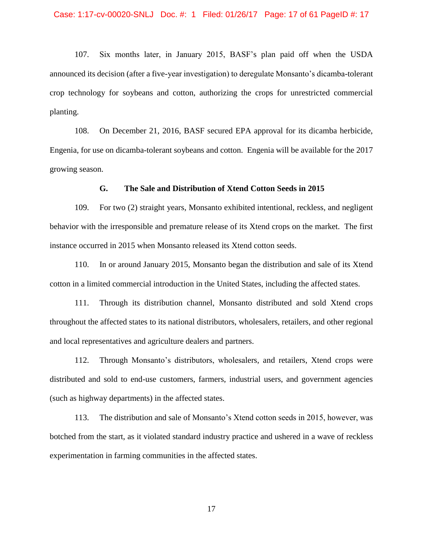107. Six months later, in January 2015, BASF's plan paid off when the USDA announced its decision (after a five-year investigation) to deregulate Monsanto's dicamba-tolerant crop technology for soybeans and cotton, authorizing the crops for unrestricted commercial planting.

108. On December 21, 2016, BASF secured EPA approval for its dicamba herbicide, Engenia, for use on dicamba-tolerant soybeans and cotton. Engenia will be available for the 2017 growing season.

## **G. The Sale and Distribution of Xtend Cotton Seeds in 2015**

109. For two (2) straight years, Monsanto exhibited intentional, reckless, and negligent behavior with the irresponsible and premature release of its Xtend crops on the market. The first instance occurred in 2015 when Monsanto released its Xtend cotton seeds.

110. In or around January 2015, Monsanto began the distribution and sale of its Xtend cotton in a limited commercial introduction in the United States, including the affected states.

111. Through its distribution channel, Monsanto distributed and sold Xtend crops throughout the affected states to its national distributors, wholesalers, retailers, and other regional and local representatives and agriculture dealers and partners.

112. Through Monsanto's distributors, wholesalers, and retailers, Xtend crops were distributed and sold to end-use customers, farmers, industrial users, and government agencies (such as highway departments) in the affected states.

113. The distribution and sale of Monsanto's Xtend cotton seeds in 2015, however, was botched from the start, as it violated standard industry practice and ushered in a wave of reckless experimentation in farming communities in the affected states.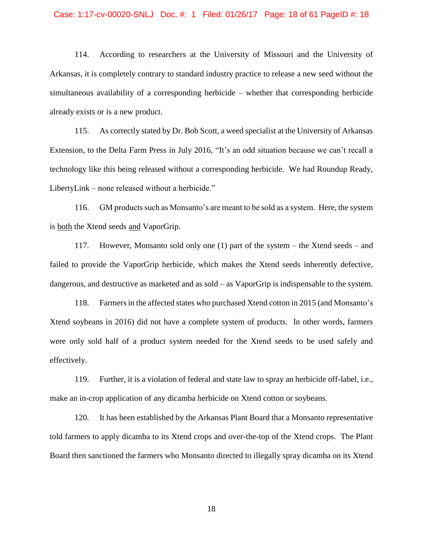#### Case: 1:17-cv-00020-SNLJ Doc. #: 1 Filed: 01/26/17 Page: 18 of 61 PageID #: 18

114. According to researchers at the University of Missouri and the University of Arkansas, it is completely contrary to standard industry practice to release a new seed without the simultaneous availability of a corresponding herbicide – whether that corresponding herbicide already exists or is a new product.

115. As correctly stated by Dr. Bob Scott, a weed specialist at the University of Arkansas Extension, to the Delta Farm Press in July 2016, "It's an odd situation because we can't recall a technology like this being released without a corresponding herbicide. We had Roundup Ready, LibertyLink – none released without a herbicide."

116. GM products such as Monsanto's are meant to be sold as a system. Here, the system is both the Xtend seeds and VaporGrip.

117. However, Monsanto sold only one (1) part of the system – the Xtend seeds – and failed to provide the VaporGrip herbicide, which makes the Xtend seeds inherently defective, dangerous, and destructive as marketed and as sold – as VaporGrip is indispensable to the system.

118. Farmersin the affected states who purchased Xtend cotton in 2015 (and Monsanto's Xtend soybeans in 2016) did not have a complete system of products. In other words, farmers were only sold half of a product system needed for the Xtend seeds to be used safely and effectively.

119. Further, it is a violation of federal and state law to spray an herbicide off-label, i.e., make an in-crop application of any dicamba herbicide on Xtend cotton or soybeans.

120. It has been established by the Arkansas Plant Board that a Monsanto representative told farmers to apply dicamba to its Xtend crops and over-the-top of the Xtend crops. The Plant Board then sanctioned the farmers who Monsanto directed to illegally spray dicamba on its Xtend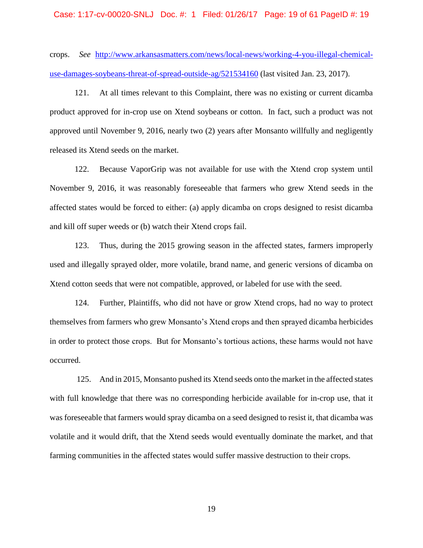#### Case: 1:17-cv-00020-SNLJ Doc. #: 1 Filed: 01/26/17 Page: 19 of 61 PageID #: 19

crops. *See* [http://www.arkansasmatters.com/news/local-news/working-4-you-illegal-chemical](http://www.arkansasmatters.com/news/local-news/working-4-you-illegal-chemical-use-damages-soybeans-threat-of-spread-outside-ag/521534160)[use-damages-soybeans-threat-of-spread-outside-ag/521534160](http://www.arkansasmatters.com/news/local-news/working-4-you-illegal-chemical-use-damages-soybeans-threat-of-spread-outside-ag/521534160) (last visited Jan. 23, 2017).

121. At all times relevant to this Complaint, there was no existing or current dicamba product approved for in-crop use on Xtend soybeans or cotton. In fact, such a product was not approved until November 9, 2016, nearly two (2) years after Monsanto willfully and negligently released its Xtend seeds on the market.

122. Because VaporGrip was not available for use with the Xtend crop system until November 9, 2016, it was reasonably foreseeable that farmers who grew Xtend seeds in the affected states would be forced to either: (a) apply dicamba on crops designed to resist dicamba and kill off super weeds or (b) watch their Xtend crops fail.

123. Thus, during the 2015 growing season in the affected states, farmers improperly used and illegally sprayed older, more volatile, brand name, and generic versions of dicamba on Xtend cotton seeds that were not compatible, approved, or labeled for use with the seed.

124. Further, Plaintiffs, who did not have or grow Xtend crops, had no way to protect themselves from farmers who grew Monsanto's Xtend crops and then sprayed dicamba herbicides in order to protect those crops. But for Monsanto's tortious actions, these harms would not have occurred.

125. And in 2015, Monsanto pushed its Xtend seeds onto the market in the affected states with full knowledge that there was no corresponding herbicide available for in-crop use, that it was foreseeable that farmers would spray dicamba on a seed designed to resist it, that dicamba was volatile and it would drift, that the Xtend seeds would eventually dominate the market, and that farming communities in the affected states would suffer massive destruction to their crops.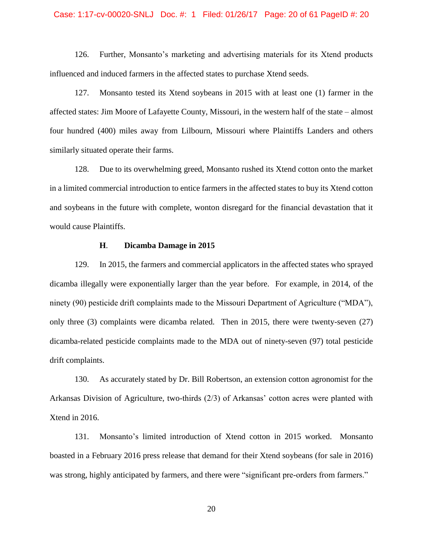#### Case: 1:17-cv-00020-SNLJ Doc. #: 1 Filed: 01/26/17 Page: 20 of 61 PageID #: 20

126. Further, Monsanto's marketing and advertising materials for its Xtend products influenced and induced farmers in the affected states to purchase Xtend seeds.

127. Monsanto tested its Xtend soybeans in 2015 with at least one (1) farmer in the affected states: Jim Moore of Lafayette County, Missouri, in the western half of the state – almost four hundred (400) miles away from Lilbourn, Missouri where Plaintiffs Landers and others similarly situated operate their farms.

128. Due to its overwhelming greed, Monsanto rushed its Xtend cotton onto the market in a limited commercial introduction to entice farmers in the affected states to buy its Xtend cotton and soybeans in the future with complete, wonton disregard for the financial devastation that it would cause Plaintiffs.

## **H**. **Dicamba Damage in 2015**

129. In 2015, the farmers and commercial applicators in the affected states who sprayed dicamba illegally were exponentially larger than the year before. For example, in 2014, of the ninety (90) pesticide drift complaints made to the Missouri Department of Agriculture ("MDA"), only three (3) complaints were dicamba related. Then in 2015, there were twenty-seven (27) dicamba-related pesticide complaints made to the MDA out of ninety-seven (97) total pesticide drift complaints.

130. As accurately stated by Dr. Bill Robertson, an extension cotton agronomist for the Arkansas Division of Agriculture, two-thirds (2/3) of Arkansas' cotton acres were planted with Xtend in 2016.

131. Monsanto's limited introduction of Xtend cotton in 2015 worked. Monsanto boasted in a February 2016 press release that demand for their Xtend soybeans (for sale in 2016) was strong, highly anticipated by farmers, and there were "significant pre-orders from farmers."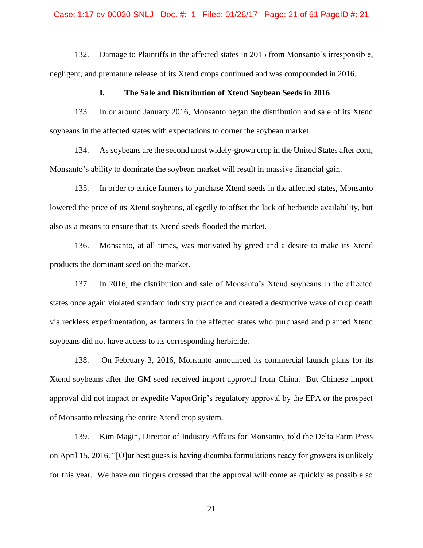#### Case: 1:17-cv-00020-SNLJ Doc. #: 1 Filed: 01/26/17 Page: 21 of 61 PageID #: 21

132. Damage to Plaintiffs in the affected states in 2015 from Monsanto's irresponsible, negligent, and premature release of its Xtend crops continued and was compounded in 2016.

## **I. The Sale and Distribution of Xtend Soybean Seeds in 2016**

133. In or around January 2016, Monsanto began the distribution and sale of its Xtend soybeans in the affected states with expectations to corner the soybean market.

134. As soybeans are the second most widely-grown crop in the United States after corn, Monsanto's ability to dominate the soybean market will result in massive financial gain.

135. In order to entice farmers to purchase Xtend seeds in the affected states, Monsanto lowered the price of its Xtend soybeans, allegedly to offset the lack of herbicide availability, but also as a means to ensure that its Xtend seeds flooded the market.

136. Monsanto, at all times, was motivated by greed and a desire to make its Xtend products the dominant seed on the market.

137. In 2016, the distribution and sale of Monsanto's Xtend soybeans in the affected states once again violated standard industry practice and created a destructive wave of crop death via reckless experimentation, as farmers in the affected states who purchased and planted Xtend soybeans did not have access to its corresponding herbicide.

138. On February 3, 2016, Monsanto announced its commercial launch plans for its Xtend soybeans after the GM seed received import approval from China. But Chinese import approval did not impact or expedite VaporGrip's regulatory approval by the EPA or the prospect of Monsanto releasing the entire Xtend crop system.

139. Kim Magin, Director of Industry Affairs for Monsanto, told the Delta Farm Press on April 15, 2016, "[O]ur best guess is having dicamba formulations ready for growers is unlikely for this year. We have our fingers crossed that the approval will come as quickly as possible so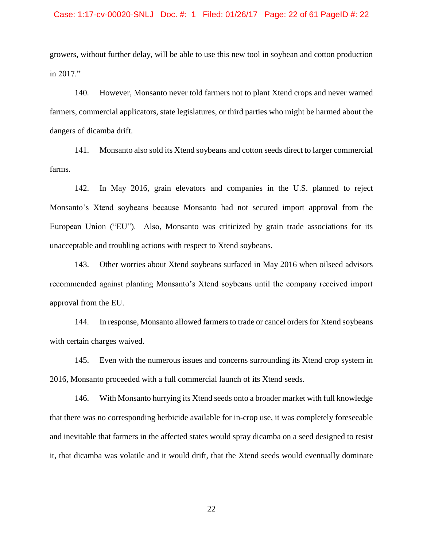# Case: 1:17-cv-00020-SNLJ Doc. #: 1 Filed: 01/26/17 Page: 22 of 61 PageID #: 22

growers, without further delay, will be able to use this new tool in soybean and cotton production in 2017."

140. However, Monsanto never told farmers not to plant Xtend crops and never warned farmers, commercial applicators, state legislatures, or third parties who might be harmed about the dangers of dicamba drift.

141. Monsanto also sold its Xtend soybeans and cotton seeds direct to larger commercial farms.

142. In May 2016, grain elevators and companies in the U.S. planned to reject Monsanto's Xtend soybeans because Monsanto had not secured import approval from the European Union ("EU"). Also, Monsanto was criticized by grain trade associations for its unacceptable and troubling actions with respect to Xtend soybeans.

143. Other worries about Xtend soybeans surfaced in May 2016 when oilseed advisors recommended against planting Monsanto's Xtend soybeans until the company received import approval from the EU.

144. In response, Monsanto allowed farmers to trade or cancel orders for Xtend soybeans with certain charges waived.

145. Even with the numerous issues and concerns surrounding its Xtend crop system in 2016, Monsanto proceeded with a full commercial launch of its Xtend seeds.

146. With Monsanto hurrying its Xtend seeds onto a broader market with full knowledge that there was no corresponding herbicide available for in-crop use, it was completely foreseeable and inevitable that farmers in the affected states would spray dicamba on a seed designed to resist it, that dicamba was volatile and it would drift, that the Xtend seeds would eventually dominate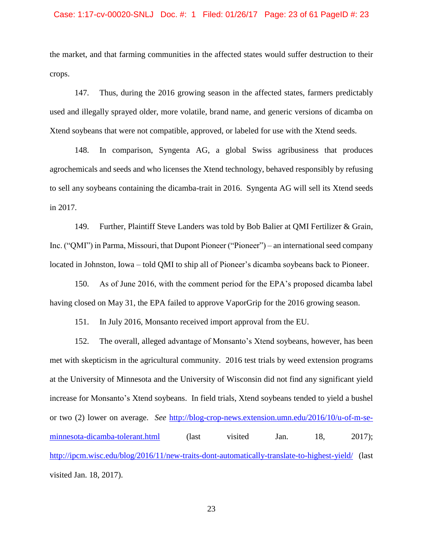#### Case: 1:17-cv-00020-SNLJ Doc. #: 1 Filed: 01/26/17 Page: 23 of 61 PageID #: 23

the market, and that farming communities in the affected states would suffer destruction to their crops.

147. Thus, during the 2016 growing season in the affected states, farmers predictably used and illegally sprayed older, more volatile, brand name, and generic versions of dicamba on Xtend soybeans that were not compatible, approved, or labeled for use with the Xtend seeds.

148. In comparison, Syngenta AG, a global Swiss agribusiness that produces agrochemicals and seeds and who licenses the Xtend technology, behaved responsibly by refusing to sell any soybeans containing the dicamba-trait in 2016. Syngenta AG will sell its Xtend seeds in 2017.

149. Further, Plaintiff Steve Landers was told by Bob Balier at QMI Fertilizer & Grain, Inc. ("QMI") in Parma, Missouri, that Dupont Pioneer ("Pioneer") – an international seed company located in Johnston, Iowa – told QMI to ship all of Pioneer's dicamba soybeans back to Pioneer.

150. As of June 2016, with the comment period for the EPA's proposed dicamba label having closed on May 31, the EPA failed to approve VaporGrip for the 2016 growing season.

151. In July 2016, Monsanto received import approval from the EU.

152. The overall, alleged advantage of Monsanto's Xtend soybeans, however, has been met with skepticism in the agricultural community. 2016 test trials by weed extension programs at the University of Minnesota and the University of Wisconsin did not find any significant yield increase for Monsanto's Xtend soybeans. In field trials, Xtend soybeans tended to yield a bushel or two (2) lower on average. *See* [http://blog-crop-news.extension.umn.edu/2016/10/u-of-m-se](http://blog-crop-news.extension.umn.edu/2016/10/u-of-m-se-minnesota-dicamba-tolerant.html)[minnesota-dicamba-tolerant.html](http://blog-crop-news.extension.umn.edu/2016/10/u-of-m-se-minnesota-dicamba-tolerant.html) (last visited Jan. 18, 2017); <http://ipcm.wisc.edu/blog/2016/11/new-traits-dont-automatically-translate-to-highest-yield/> (last visited Jan. 18, 2017).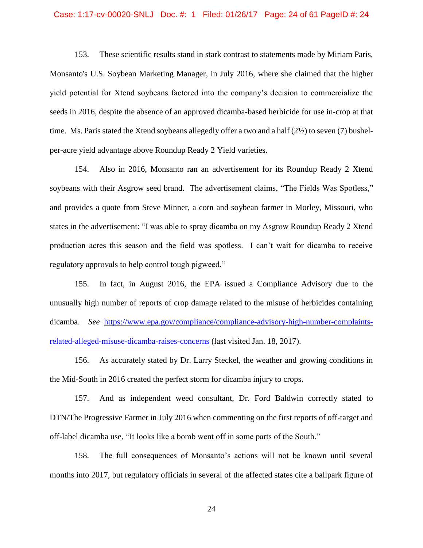#### Case: 1:17-cv-00020-SNLJ Doc. #: 1 Filed: 01/26/17 Page: 24 of 61 PageID #: 24

153. These scientific results stand in stark contrast to statements made by Miriam Paris, Monsanto's U.S. Soybean Marketing Manager, in July 2016, where she claimed that the higher yield potential for Xtend soybeans factored into the company's decision to commercialize the seeds in 2016, despite the absence of an approved dicamba-based herbicide for use in-crop at that time. Ms. Paris stated the Xtend soybeans allegedly offer a two and a half (2½) to seven (7) bushelper-acre yield advantage above Roundup Ready 2 Yield varieties.

154. Also in 2016, Monsanto ran an advertisement for its Roundup Ready 2 Xtend soybeans with their Asgrow seed brand. The advertisement claims, "The Fields Was Spotless," and provides a quote from Steve Minner, a corn and soybean farmer in Morley, Missouri, who states in the advertisement: "I was able to spray dicamba on my Asgrow Roundup Ready 2 Xtend production acres this season and the field was spotless. I can't wait for dicamba to receive regulatory approvals to help control tough pigweed."

155. In fact, in August 2016, the EPA issued a Compliance Advisory due to the unusually high number of reports of crop damage related to the misuse of herbicides containing dicamba. *See* [https://www.epa.gov/compliance/compliance-advisory-high-number-complaints](https://www.epa.gov/compliance/compliance-advisory-high-number-complaints-related-alleged-misuse-dicamba-raises-concerns)[related-alleged-misuse-dicamba-raises-concerns](https://www.epa.gov/compliance/compliance-advisory-high-number-complaints-related-alleged-misuse-dicamba-raises-concerns) (last visited Jan. 18, 2017).

156. As accurately stated by Dr. Larry Steckel, the weather and growing conditions in the Mid-South in 2016 created the perfect storm for dicamba injury to crops.

157. And as independent weed consultant, Dr. Ford Baldwin correctly stated to DTN/The Progressive Farmer in July 2016 when commenting on the first reports of off-target and off-label dicamba use, "It looks like a bomb went off in some parts of the South."

158. The full consequences of Monsanto's actions will not be known until several months into 2017, but regulatory officials in several of the affected states cite a ballpark figure of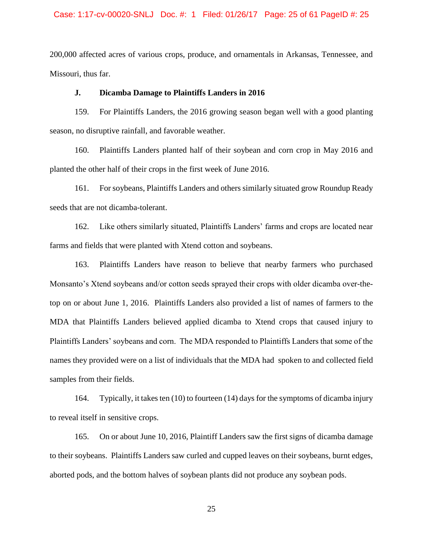#### Case: 1:17-cv-00020-SNLJ Doc. #: 1 Filed: 01/26/17 Page: 25 of 61 PageID #: 25

200,000 affected acres of various crops, produce, and ornamentals in Arkansas, Tennessee, and Missouri, thus far.

## **J. Dicamba Damage to Plaintiffs Landers in 2016**

159. For Plaintiffs Landers, the 2016 growing season began well with a good planting season, no disruptive rainfall, and favorable weather.

160. Plaintiffs Landers planted half of their soybean and corn crop in May 2016 and planted the other half of their crops in the first week of June 2016.

161. For soybeans, Plaintiffs Landers and others similarly situated grow Roundup Ready seeds that are not dicamba-tolerant.

162. Like others similarly situated, Plaintiffs Landers' farms and crops are located near farms and fields that were planted with Xtend cotton and soybeans.

163. Plaintiffs Landers have reason to believe that nearby farmers who purchased Monsanto's Xtend soybeans and/or cotton seeds sprayed their crops with older dicamba over-thetop on or about June 1, 2016. Plaintiffs Landers also provided a list of names of farmers to the MDA that Plaintiffs Landers believed applied dicamba to Xtend crops that caused injury to Plaintiffs Landers' soybeans and corn. The MDA responded to Plaintiffs Landers that some of the names they provided were on a list of individuals that the MDA had spoken to and collected field samples from their fields.

164. Typically, it takes ten (10) to fourteen (14) days for the symptoms of dicamba injury to reveal itself in sensitive crops.

165. On or about June 10, 2016, Plaintiff Landers saw the first signs of dicamba damage to their soybeans. Plaintiffs Landers saw curled and cupped leaves on their soybeans, burnt edges, aborted pods, and the bottom halves of soybean plants did not produce any soybean pods.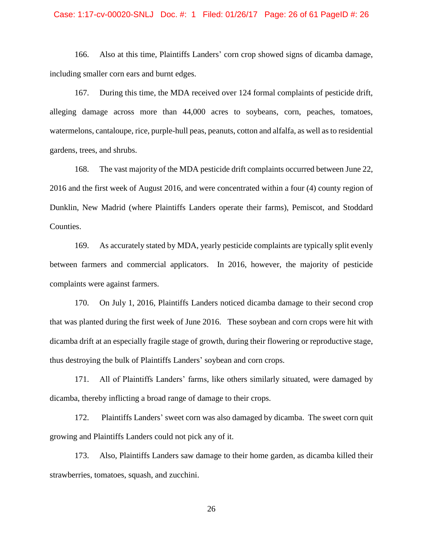#### Case: 1:17-cv-00020-SNLJ Doc. #: 1 Filed: 01/26/17 Page: 26 of 61 PageID #: 26

166. Also at this time, Plaintiffs Landers' corn crop showed signs of dicamba damage, including smaller corn ears and burnt edges.

167. During this time, the MDA received over 124 formal complaints of pesticide drift, alleging damage across more than 44,000 acres to soybeans, corn, peaches, tomatoes, watermelons, cantaloupe, rice, purple-hull peas, peanuts, cotton and alfalfa, as well as to residential gardens, trees, and shrubs.

168. The vast majority of the MDA pesticide drift complaints occurred between June 22, 2016 and the first week of August 2016, and were concentrated within a four (4) county region of Dunklin, New Madrid (where Plaintiffs Landers operate their farms), Pemiscot, and Stoddard Counties.

169. As accurately stated by MDA, yearly pesticide complaints are typically split evenly between farmers and commercial applicators. In 2016, however, the majority of pesticide complaints were against farmers.

170. On July 1, 2016, Plaintiffs Landers noticed dicamba damage to their second crop that was planted during the first week of June 2016. These soybean and corn crops were hit with dicamba drift at an especially fragile stage of growth, during their flowering or reproductive stage, thus destroying the bulk of Plaintiffs Landers' soybean and corn crops.

171. All of Plaintiffs Landers' farms, like others similarly situated, were damaged by dicamba, thereby inflicting a broad range of damage to their crops.

172. Plaintiffs Landers' sweet corn was also damaged by dicamba. The sweet corn quit growing and Plaintiffs Landers could not pick any of it.

173. Also, Plaintiffs Landers saw damage to their home garden, as dicamba killed their strawberries, tomatoes, squash, and zucchini.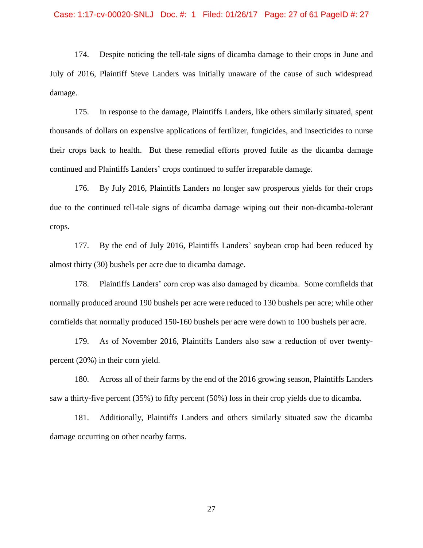#### Case: 1:17-cv-00020-SNLJ Doc. #: 1 Filed: 01/26/17 Page: 27 of 61 PageID #: 27

174. Despite noticing the tell-tale signs of dicamba damage to their crops in June and July of 2016, Plaintiff Steve Landers was initially unaware of the cause of such widespread damage.

175. In response to the damage, Plaintiffs Landers, like others similarly situated, spent thousands of dollars on expensive applications of fertilizer, fungicides, and insecticides to nurse their crops back to health. But these remedial efforts proved futile as the dicamba damage continued and Plaintiffs Landers' crops continued to suffer irreparable damage.

176. By July 2016, Plaintiffs Landers no longer saw prosperous yields for their crops due to the continued tell-tale signs of dicamba damage wiping out their non-dicamba-tolerant crops.

177. By the end of July 2016, Plaintiffs Landers' soybean crop had been reduced by almost thirty (30) bushels per acre due to dicamba damage.

178. Plaintiffs Landers' corn crop was also damaged by dicamba. Some cornfields that normally produced around 190 bushels per acre were reduced to 130 bushels per acre; while other cornfields that normally produced 150-160 bushels per acre were down to 100 bushels per acre.

179. As of November 2016, Plaintiffs Landers also saw a reduction of over twentypercent (20%) in their corn yield.

180. Across all of their farms by the end of the 2016 growing season, Plaintiffs Landers saw a thirty-five percent (35%) to fifty percent (50%) loss in their crop yields due to dicamba.

181. Additionally, Plaintiffs Landers and others similarly situated saw the dicamba damage occurring on other nearby farms.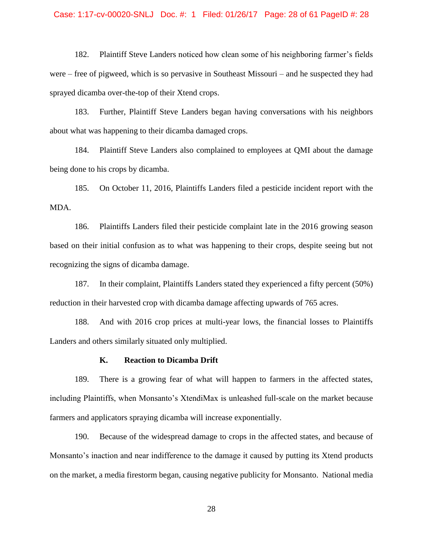#### Case: 1:17-cv-00020-SNLJ Doc. #: 1 Filed: 01/26/17 Page: 28 of 61 PageID #: 28

182. Plaintiff Steve Landers noticed how clean some of his neighboring farmer's fields were – free of pigweed, which is so pervasive in Southeast Missouri – and he suspected they had sprayed dicamba over-the-top of their Xtend crops.

183. Further, Plaintiff Steve Landers began having conversations with his neighbors about what was happening to their dicamba damaged crops.

184. Plaintiff Steve Landers also complained to employees at QMI about the damage being done to his crops by dicamba.

185. On October 11, 2016, Plaintiffs Landers filed a pesticide incident report with the MDA.

186. Plaintiffs Landers filed their pesticide complaint late in the 2016 growing season based on their initial confusion as to what was happening to their crops, despite seeing but not recognizing the signs of dicamba damage.

187. In their complaint, Plaintiffs Landers stated they experienced a fifty percent (50%) reduction in their harvested crop with dicamba damage affecting upwards of 765 acres.

188. And with 2016 crop prices at multi-year lows, the financial losses to Plaintiffs Landers and others similarly situated only multiplied.

#### **K. Reaction to Dicamba Drift**

189. There is a growing fear of what will happen to farmers in the affected states, including Plaintiffs, when Monsanto's XtendiMax is unleashed full-scale on the market because farmers and applicators spraying dicamba will increase exponentially.

190. Because of the widespread damage to crops in the affected states, and because of Monsanto's inaction and near indifference to the damage it caused by putting its Xtend products on the market, a media firestorm began, causing negative publicity for Monsanto. National media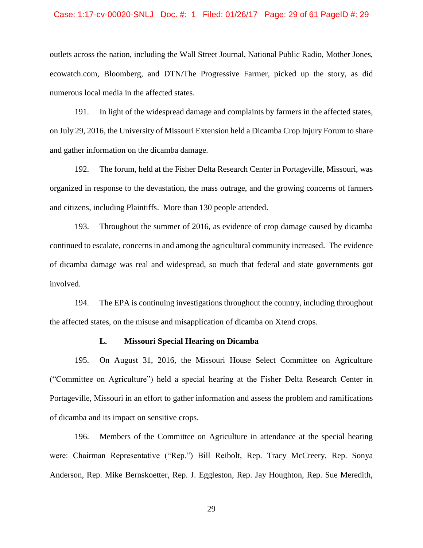#### Case: 1:17-cv-00020-SNLJ Doc. #: 1 Filed: 01/26/17 Page: 29 of 61 PageID #: 29

outlets across the nation, including the Wall Street Journal, National Public Radio, Mother Jones, ecowatch.com, Bloomberg, and DTN/The Progressive Farmer, picked up the story, as did numerous local media in the affected states.

191. In light of the widespread damage and complaints by farmers in the affected states, on July 29, 2016, the University of Missouri Extension held a Dicamba Crop Injury Forum to share and gather information on the dicamba damage.

192. The forum, held at the Fisher Delta Research Center in Portageville, Missouri, was organized in response to the devastation, the mass outrage, and the growing concerns of farmers and citizens, including Plaintiffs. More than 130 people attended.

193. Throughout the summer of 2016, as evidence of crop damage caused by dicamba continued to escalate, concerns in and among the agricultural community increased. The evidence of dicamba damage was real and widespread, so much that federal and state governments got involved.

194. The EPA is continuing investigations throughout the country, including throughout the affected states, on the misuse and misapplication of dicamba on Xtend crops.

#### **L. Missouri Special Hearing on Dicamba**

195. On August 31, 2016, the Missouri House Select Committee on Agriculture ("Committee on Agriculture") held a special hearing at the Fisher Delta Research Center in Portageville, Missouri in an effort to gather information and assess the problem and ramifications of dicamba and its impact on sensitive crops.

196. Members of the Committee on Agriculture in attendance at the special hearing were: Chairman Representative ("Rep.") Bill Reibolt, Rep. Tracy McCreery, Rep. Sonya Anderson, Rep. Mike Bernskoetter, Rep. J. Eggleston, Rep. Jay Houghton, Rep. Sue Meredith,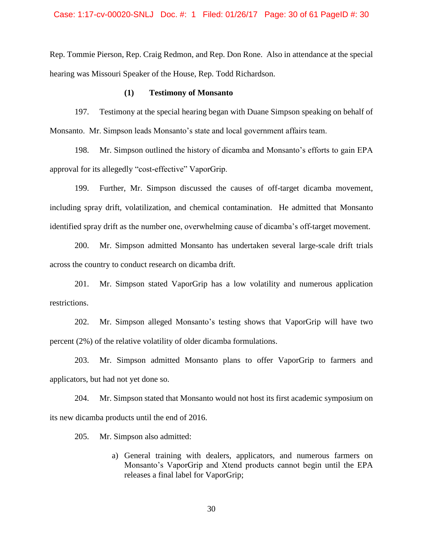#### Case: 1:17-cv-00020-SNLJ Doc. #: 1 Filed: 01/26/17 Page: 30 of 61 PageID #: 30

Rep. Tommie Pierson, Rep. Craig Redmon, and Rep. Don Rone. Also in attendance at the special hearing was Missouri Speaker of the House, Rep. Todd Richardson.

## **(1) Testimony of Monsanto**

197. Testimony at the special hearing began with Duane Simpson speaking on behalf of Monsanto. Mr. Simpson leads Monsanto's state and local government affairs team.

198. Mr. Simpson outlined the history of dicamba and Monsanto's efforts to gain EPA approval for its allegedly "cost-effective" VaporGrip.

199. Further, Mr. Simpson discussed the causes of off-target dicamba movement, including spray drift, volatilization, and chemical contamination. He admitted that Monsanto identified spray drift as the number one, overwhelming cause of dicamba's off-target movement.

200. Mr. Simpson admitted Monsanto has undertaken several large-scale drift trials across the country to conduct research on dicamba drift.

201. Mr. Simpson stated VaporGrip has a low volatility and numerous application restrictions.

202. Mr. Simpson alleged Monsanto's testing shows that VaporGrip will have two percent (2%) of the relative volatility of older dicamba formulations.

203. Mr. Simpson admitted Monsanto plans to offer VaporGrip to farmers and applicators, but had not yet done so.

204. Mr. Simpson stated that Monsanto would not host its first academic symposium on its new dicamba products until the end of 2016.

205. Mr. Simpson also admitted:

a) General training with dealers, applicators, and numerous farmers on Monsanto's VaporGrip and Xtend products cannot begin until the EPA releases a final label for VaporGrip;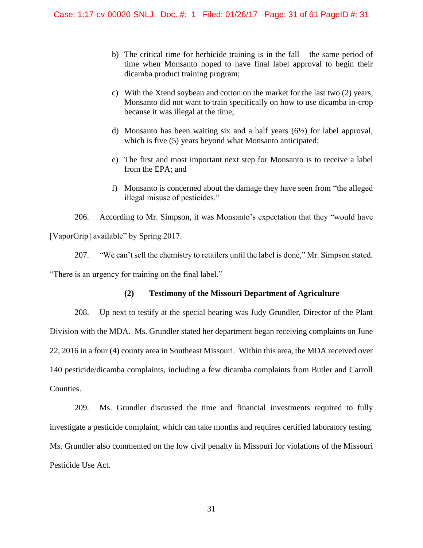- b) The critical time for herbicide training is in the fall the same period of time when Monsanto hoped to have final label approval to begin their dicamba product training program;
- c) With the Xtend soybean and cotton on the market for the last two (2) years, Monsanto did not want to train specifically on how to use dicamba in-crop because it was illegal at the time;
- d) Monsanto has been waiting six and a half years  $(6\frac{1}{2})$  for label approval, which is five (5) years beyond what Monsanto anticipated;
- e) The first and most important next step for Monsanto is to receive a label from the EPA; and
- f) Monsanto is concerned about the damage they have seen from "the alleged illegal misuse of pesticides."

206. According to Mr. Simpson, it was Monsanto's expectation that they "would have [VaporGrip] available" by Spring 2017.

207. "We can't sell the chemistry to retailers until the label is done," Mr. Simpson stated. "There is an urgency for training on the final label."

## **(2) Testimony of the Missouri Department of Agriculture**

208. Up next to testify at the special hearing was Judy Grundler, Director of the Plant Division with the MDA. Ms. Grundler stated her department began receiving complaints on June 22, 2016 in a four (4) county area in Southeast Missouri. Within this area, the MDA received over 140 pesticide/dicamba complaints, including a few dicamba complaints from Butler and Carroll Counties.

209. Ms. Grundler discussed the time and financial investments required to fully investigate a pesticide complaint, which can take months and requires certified laboratory testing. Ms. Grundler also commented on the low civil penalty in Missouri for violations of the Missouri Pesticide Use Act.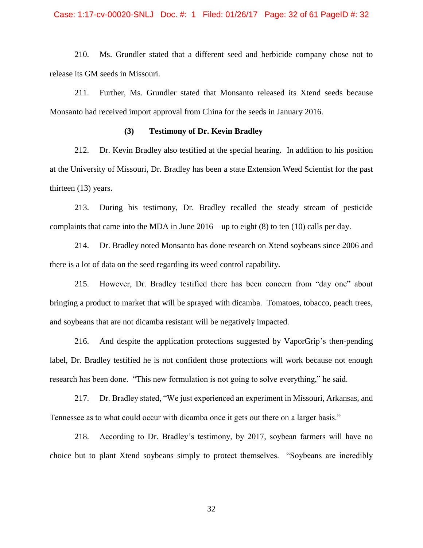#### Case: 1:17-cv-00020-SNLJ Doc. #: 1 Filed: 01/26/17 Page: 32 of 61 PageID #: 32

210. Ms. Grundler stated that a different seed and herbicide company chose not to release its GM seeds in Missouri.

211. Further, Ms. Grundler stated that Monsanto released its Xtend seeds because Monsanto had received import approval from China for the seeds in January 2016.

## **(3) Testimony of Dr. Kevin Bradley**

212. Dr. Kevin Bradley also testified at the special hearing. In addition to his position at the University of Missouri, Dr. Bradley has been a state Extension Weed Scientist for the past thirteen (13) years.

213. During his testimony, Dr. Bradley recalled the steady stream of pesticide complaints that came into the MDA in June 2016 – up to eight (8) to ten (10) calls per day.

214. Dr. Bradley noted Monsanto has done research on Xtend soybeans since 2006 and there is a lot of data on the seed regarding its weed control capability.

215. However, Dr. Bradley testified there has been concern from "day one" about bringing a product to market that will be sprayed with dicamba. Tomatoes, tobacco, peach trees, and soybeans that are not dicamba resistant will be negatively impacted.

216. And despite the application protections suggested by VaporGrip's then-pending label, Dr. Bradley testified he is not confident those protections will work because not enough research has been done. "This new formulation is not going to solve everything," he said.

217. Dr. Bradley stated, "We just experienced an experiment in Missouri, Arkansas, and Tennessee as to what could occur with dicamba once it gets out there on a larger basis."

218. According to Dr. Bradley's testimony, by 2017, soybean farmers will have no choice but to plant Xtend soybeans simply to protect themselves. "Soybeans are incredibly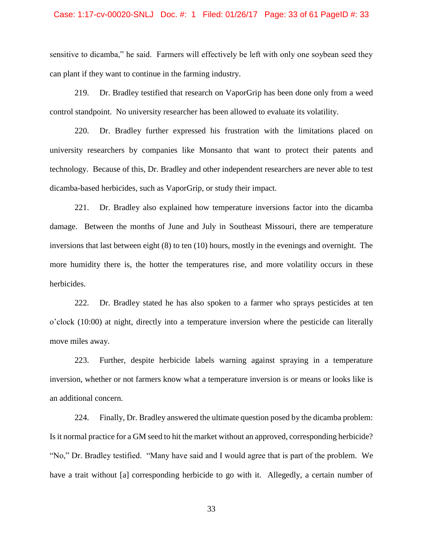#### Case: 1:17-cv-00020-SNLJ Doc. #: 1 Filed: 01/26/17 Page: 33 of 61 PageID #: 33

sensitive to dicamba," he said. Farmers will effectively be left with only one soybean seed they can plant if they want to continue in the farming industry.

219. Dr. Bradley testified that research on VaporGrip has been done only from a weed control standpoint. No university researcher has been allowed to evaluate its volatility.

220. Dr. Bradley further expressed his frustration with the limitations placed on university researchers by companies like Monsanto that want to protect their patents and technology. Because of this, Dr. Bradley and other independent researchers are never able to test dicamba-based herbicides, such as VaporGrip, or study their impact.

221. Dr. Bradley also explained how temperature inversions factor into the dicamba damage. Between the months of June and July in Southeast Missouri, there are temperature inversions that last between eight (8) to ten (10) hours, mostly in the evenings and overnight. The more humidity there is, the hotter the temperatures rise, and more volatility occurs in these herbicides.

222. Dr. Bradley stated he has also spoken to a farmer who sprays pesticides at ten o'clock (10:00) at night, directly into a temperature inversion where the pesticide can literally move miles away.

223. Further, despite herbicide labels warning against spraying in a temperature inversion, whether or not farmers know what a temperature inversion is or means or looks like is an additional concern.

224. Finally, Dr. Bradley answered the ultimate question posed by the dicamba problem: Is it normal practice for a GM seed to hit the market without an approved, corresponding herbicide? "No," Dr. Bradley testified. "Many have said and I would agree that is part of the problem. We have a trait without [a] corresponding herbicide to go with it. Allegedly, a certain number of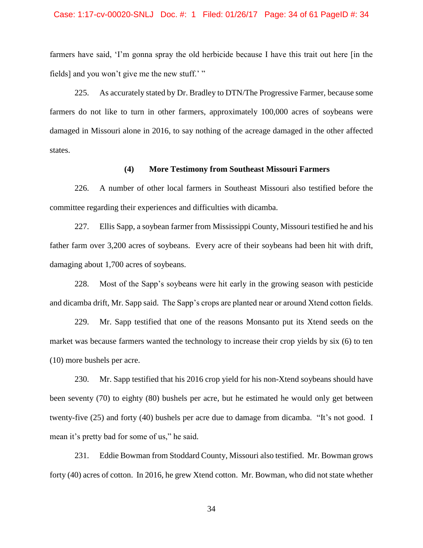#### Case: 1:17-cv-00020-SNLJ Doc. #: 1 Filed: 01/26/17 Page: 34 of 61 PageID #: 34

farmers have said, 'I'm gonna spray the old herbicide because I have this trait out here [in the fields] and you won't give me the new stuff.' "

225. As accurately stated by Dr. Bradley to DTN/The Progressive Farmer, because some farmers do not like to turn in other farmers, approximately 100,000 acres of soybeans were damaged in Missouri alone in 2016, to say nothing of the acreage damaged in the other affected states.

## **(4) More Testimony from Southeast Missouri Farmers**

226. A number of other local farmers in Southeast Missouri also testified before the committee regarding their experiences and difficulties with dicamba.

227. Ellis Sapp, a soybean farmer from Mississippi County, Missouri testified he and his father farm over 3,200 acres of soybeans. Every acre of their soybeans had been hit with drift, damaging about 1,700 acres of soybeans.

228. Most of the Sapp's soybeans were hit early in the growing season with pesticide and dicamba drift, Mr. Sapp said. The Sapp's crops are planted near or around Xtend cotton fields.

229. Mr. Sapp testified that one of the reasons Monsanto put its Xtend seeds on the market was because farmers wanted the technology to increase their crop yields by six (6) to ten (10) more bushels per acre.

230. Mr. Sapp testified that his 2016 crop yield for his non-Xtend soybeans should have been seventy (70) to eighty (80) bushels per acre, but he estimated he would only get between twenty-five (25) and forty (40) bushels per acre due to damage from dicamba. "It's not good. I mean it's pretty bad for some of us," he said.

231. Eddie Bowman from Stoddard County, Missouri also testified. Mr. Bowman grows forty (40) acres of cotton. In 2016, he grew Xtend cotton. Mr. Bowman, who did not state whether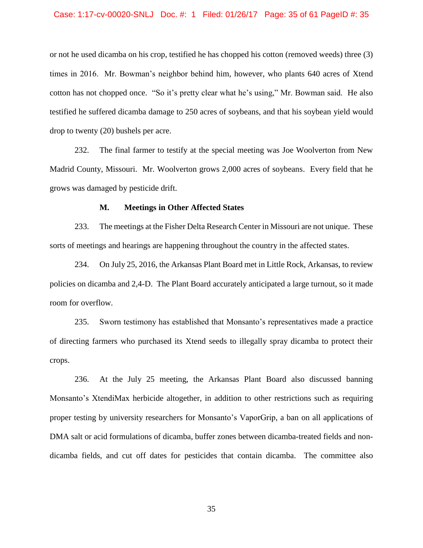#### Case: 1:17-cv-00020-SNLJ Doc. #: 1 Filed: 01/26/17 Page: 35 of 61 PageID #: 35

or not he used dicamba on his crop, testified he has chopped his cotton (removed weeds) three (3) times in 2016. Mr. Bowman's neighbor behind him, however, who plants 640 acres of Xtend cotton has not chopped once. "So it's pretty clear what he's using," Mr. Bowman said. He also testified he suffered dicamba damage to 250 acres of soybeans, and that his soybean yield would drop to twenty (20) bushels per acre.

232. The final farmer to testify at the special meeting was Joe Woolverton from New Madrid County, Missouri. Mr. Woolverton grows 2,000 acres of soybeans. Every field that he grows was damaged by pesticide drift.

### **M. Meetings in Other Affected States**

233. The meetings at the Fisher Delta Research Center in Missouri are not unique. These sorts of meetings and hearings are happening throughout the country in the affected states.

234. On July 25, 2016, the Arkansas Plant Board met in Little Rock, Arkansas, to review policies on dicamba and 2,4-D. The Plant Board accurately anticipated a large turnout, so it made room for overflow.

235. Sworn testimony has established that Monsanto's representatives made a practice of directing farmers who purchased its Xtend seeds to illegally spray dicamba to protect their crops.

236. At the July 25 meeting, the Arkansas Plant Board also discussed banning Monsanto's XtendiMax herbicide altogether, in addition to other restrictions such as requiring proper testing by university researchers for Monsanto's VaporGrip, a ban on all applications of DMA salt or acid formulations of dicamba, buffer zones between dicamba-treated fields and nondicamba fields, and cut off dates for pesticides that contain dicamba. The committee also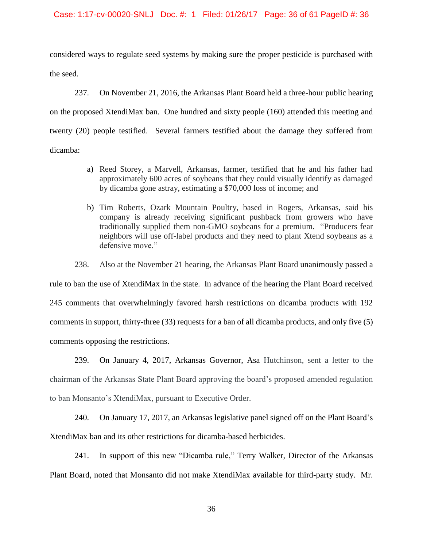### Case: 1:17-cv-00020-SNLJ Doc. #: 1 Filed: 01/26/17 Page: 36 of 61 PageID #: 36

considered ways to regulate seed systems by making sure the proper pesticide is purchased with the seed.

237. On November 21, 2016, the Arkansas Plant Board held a three-hour public hearing on the proposed XtendiMax ban. One hundred and sixty people (160) attended this meeting and twenty (20) people testified. Several farmers testified about the damage they suffered from dicamba:

- a) Reed Storey, a Marvell, Arkansas, farmer, testified that he and his father had approximately 600 acres of soybeans that they could visually identify as damaged by dicamba gone astray, estimating a \$70,000 loss of income; and
- b) Tim Roberts, Ozark Mountain Poultry, based in Rogers, Arkansas, said his company is already receiving significant pushback from growers who have traditionally supplied them non-GMO soybeans for a premium. "Producers fear neighbors will use off-label products and they need to plant Xtend soybeans as a defensive move."

238. Also at the November 21 hearing, the Arkansas Plant Board unanimously passed a

rule to ban the use of XtendiMax in the state. In advance of the hearing the Plant Board received 245 comments that overwhelmingly favored harsh restrictions on dicamba products with 192 comments in support, thirty-three (33) requests for a ban of all dicamba products, and only five (5) comments opposing the restrictions.

239. On January 4, 2017, Arkansas Governor, Asa Hutchinson, sent a letter to the chairman of the Arkansas State Plant Board approving the board's proposed amended regulation to ban Monsanto's XtendiMax, pursuant to Executive Order.

240. On January 17, 2017, an Arkansas legislative panel signed off on the Plant Board's XtendiMax ban and its other restrictions for dicamba-based herbicides.

241. In support of this new "Dicamba rule," Terry Walker, Director of the Arkansas Plant Board, noted that Monsanto did not make XtendiMax available for third-party study. Mr.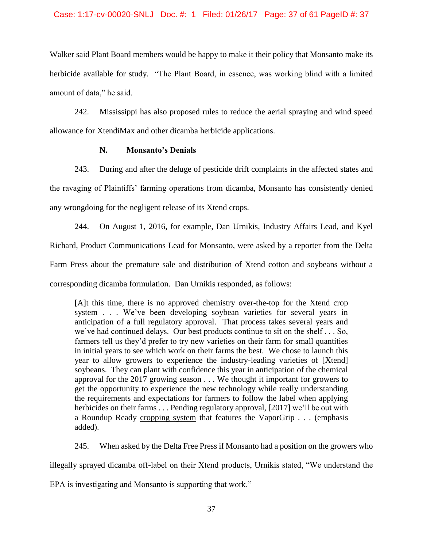## Case: 1:17-cv-00020-SNLJ Doc. #: 1 Filed: 01/26/17 Page: 37 of 61 PageID #: 37

Walker said Plant Board members would be happy to make it their policy that Monsanto make its herbicide available for study. "The Plant Board, in essence, was working blind with a limited amount of data," he said.

242. Mississippi has also proposed rules to reduce the aerial spraying and wind speed allowance for XtendiMax and other dicamba herbicide applications.

## **N. Monsanto's Denials**

243. During and after the deluge of pesticide drift complaints in the affected states and the ravaging of Plaintiffs' farming operations from dicamba, Monsanto has consistently denied any wrongdoing for the negligent release of its Xtend crops.

244. On August 1, 2016, for example, Dan Urnikis, Industry Affairs Lead, and Kyel Richard, Product Communications Lead for Monsanto, were asked by a reporter from the Delta Farm Press about the premature sale and distribution of Xtend cotton and soybeans without a corresponding dicamba formulation. Dan Urnikis responded, as follows:

[A]t this time, there is no approved chemistry over-the-top for the Xtend crop system . . . We've been developing soybean varieties for several years in anticipation of a full regulatory approval. That process takes several years and we've had continued delays. Our best products continue to sit on the shelf . . . So, farmers tell us they'd prefer to try new varieties on their farm for small quantities in initial years to see which work on their farms the best. We chose to launch this year to allow growers to experience the industry-leading varieties of [Xtend] soybeans. They can plant with confidence this year in anticipation of the chemical approval for the 2017 growing season . . . We thought it important for growers to get the opportunity to experience the new technology while really understanding the requirements and expectations for farmers to follow the label when applying herbicides on their farms . . . Pending regulatory approval, [2017] we'll be out with a Roundup Ready cropping system that features the VaporGrip . . . (emphasis added).

245. When asked by the Delta Free Press if Monsanto had a position on the growers who

illegally sprayed dicamba off-label on their Xtend products, Urnikis stated, "We understand the

EPA is investigating and Monsanto is supporting that work."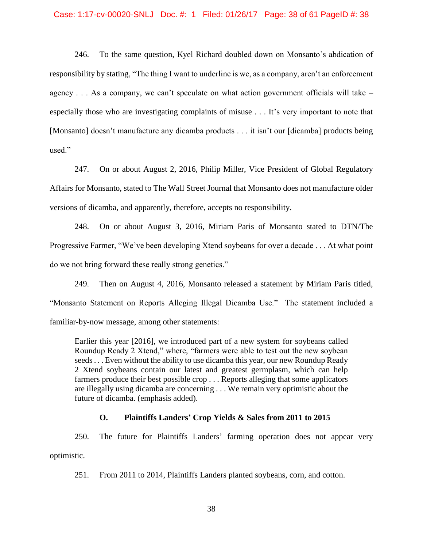### Case: 1:17-cv-00020-SNLJ Doc. #: 1 Filed: 01/26/17 Page: 38 of 61 PageID #: 38

246. To the same question, Kyel Richard doubled down on Monsanto's abdication of responsibility by stating, "The thing I want to underline is we, as a company, aren't an enforcement agency  $\dots$  As a company, we can't speculate on what action government officials will take – especially those who are investigating complaints of misuse . . . It's very important to note that [Monsanto] doesn't manufacture any dicamba products . . . it isn't our [dicamba] products being used."

247. On or about August 2, 2016, Philip Miller, Vice President of Global Regulatory Affairs for Monsanto, stated to The Wall Street Journal that Monsanto does not manufacture older versions of dicamba, and apparently, therefore, accepts no responsibility.

248. On or about August 3, 2016, Miriam Paris of Monsanto stated to DTN/The Progressive Farmer, "We've been developing Xtend soybeans for over a decade . . . At what point do we not bring forward these really strong genetics."

249. Then on August 4, 2016, Monsanto released a statement by Miriam Paris titled, "Monsanto Statement on Reports Alleging Illegal Dicamba Use." The statement included a familiar-by-now message, among other statements:

Earlier this year [2016], we introduced part of a new system for soybeans called Roundup Ready 2 Xtend," where, "farmers were able to test out the new soybean seeds . . . Even without the ability to use dicamba this year, our new Roundup Ready 2 Xtend soybeans contain our latest and greatest germplasm, which can help farmers produce their best possible crop . . . Reports alleging that some applicators are illegally using dicamba are concerning . . . We remain very optimistic about the future of dicamba. (emphasis added).

## **O. Plaintiffs Landers' Crop Yields & Sales from 2011 to 2015**

250. The future for Plaintiffs Landers' farming operation does not appear very optimistic.

251. From 2011 to 2014, Plaintiffs Landers planted soybeans, corn, and cotton.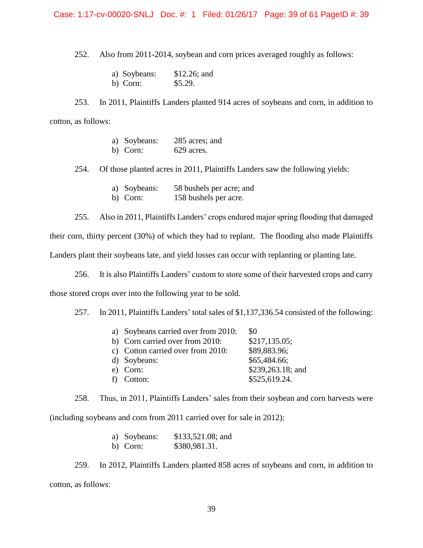## Case: 1:17-cv-00020-SNLJ Doc. #: 1 Filed: 01/26/17 Page: 39 of 61 PageID #: 39

252. Also from 2011-2014, soybean and corn prices averaged roughly as follows:

- a) Soybeans: \$12.26; and
- b) Corn: \$5.29.

253. In 2011, Plaintiffs Landers planted 914 acres of soybeans and corn, in addition to cotton, as follows:

- a) Soybeans: 285 acres; and
- b) Corn: 629 acres.

254. Of those planted acres in 2011, Plaintiffs Landers saw the following yields:

- a) Soybeans: 58 bushels per acre; and
- b) Corn: 158 bushels per acre.

255. Also in 2011, Plaintiffs Landers' crops endured major spring flooding that damaged

their corn, thirty percent (30%) of which they had to replant. The flooding also made Plaintiffs

Landers plant their soybeans late, and yield losses can occur with replanting or planting late.

256. It is also Plaintiffs Landers' custom to store some of their harvested crops and carry those stored crops over into the following year to be sold.

257. In 2011, Plaintiffs Landers' total sales of \$1,137,336.54 consisted of the following:

| a) Soybeans carried over from 2010: | \$0               |
|-------------------------------------|-------------------|
| b) Corn carried over from 2010:     | \$217,135.05;     |
| c) Cotton carried over from 2010:   | \$89,883.96;      |
| d) Soybeans:                        | \$65,484.66;      |
| e) Corn:                            | \$239,263.18; and |
| f) Cotton:                          | \$525,619.24.     |
|                                     |                   |

258. Thus, in 2011, Plaintiffs Landers' sales from their soybean and corn harvests were

(including soybeans and corn from 2011 carried over for sale in 2012):

| a) Soybeans: | $$133,521.08$ ; and |
|--------------|---------------------|
| b) Corn:     | \$380,981.31.       |

259. In 2012, Plaintiffs Landers planted 858 acres of soybeans and corn, in addition to cotton, as follows: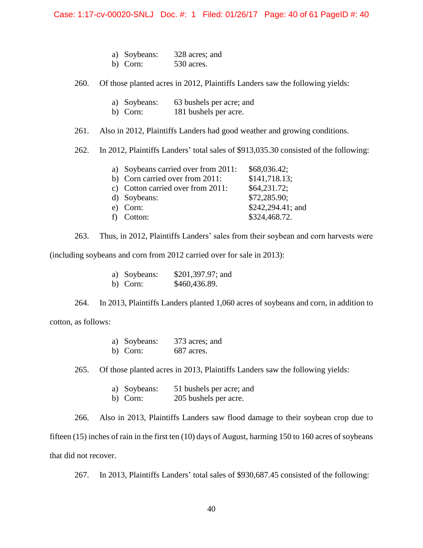## Case: 1:17-cv-00020-SNLJ Doc. #: 1 Filed: 01/26/17 Page: 40 of 61 PageID #: 40

- a) Soybeans: 328 acres; and
- b) Corn: 530 acres.

260. Of those planted acres in 2012, Plaintiffs Landers saw the following yields:

- a) Soybeans: 63 bushels per acre; and
- b) Corn: 181 bushels per acre.

261. Also in 2012, Plaintiffs Landers had good weather and growing conditions.

262. In 2012, Plaintiffs Landers' total sales of \$913,035.30 consisted of the following:

| a) Soybeans carried over from 2011: | \$68,036.42;      |
|-------------------------------------|-------------------|
| b) Corn carried over from 2011:     | \$141,718.13;     |
| c) Cotton carried over from 2011:   | \$64,231.72;      |
| d) Soybeans:                        | \$72,285.90;      |
| e) Corn:                            | \$242,294.41; and |
| f) Cotton:                          | \$324,468.72.     |

263. Thus, in 2012, Plaintiffs Landers' sales from their soybean and corn harvests were

(including soybeans and corn from 2012 carried over for sale in 2013):

| a) Soybeans: | \$201,397.97; and |
|--------------|-------------------|
| b) Corn:     | \$460,436.89.     |

264. In 2013, Plaintiffs Landers planted 1,060 acres of soybeans and corn, in addition to

cotton, as follows:

| a) Soybeans: | 373 acres; and |
|--------------|----------------|
| b) Corn:     | 687 acres.     |

265. Of those planted acres in 2013, Plaintiffs Landers saw the following yields:

- a) Soybeans: 51 bushels per acre; and
- b) Corn: 205 bushels per acre.

266. Also in 2013, Plaintiffs Landers saw flood damage to their soybean crop due to

fifteen (15) inches of rain in the first ten (10) days of August, harming 150 to 160 acres of soybeans that did not recover.

267. In 2013, Plaintiffs Landers' total sales of \$930,687.45 consisted of the following: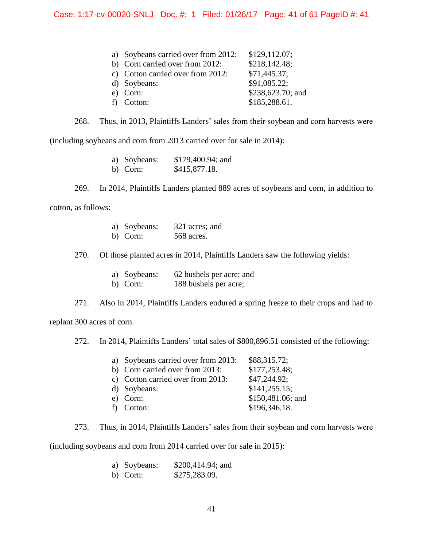| a) Soybeans carried over from 2012: | \$129,112.07;     |
|-------------------------------------|-------------------|
| b) Corn carried over from 2012:     | \$218,142.48;     |
| c) Cotton carried over from 2012:   | \$71,445.37;      |
| d) Soybeans:                        | \$91,085.22;      |
| e) Corn:                            | \$238,623.70; and |
| f) Cotton:                          | \$185,288.61.     |

268. Thus, in 2013, Plaintiffs Landers' sales from their soybean and corn harvests were

(including soybeans and corn from 2013 carried over for sale in 2014):

| a) Soybeans: | \$179,400.94; and |
|--------------|-------------------|
| b) Corn:     | \$415,877.18.     |

269. In 2014, Plaintiffs Landers planted 889 acres of soybeans and corn, in addition to

cotton, as follows:

| a) Soybeans:              | 321 acres; and |
|---------------------------|----------------|
| $\mathbf{L}$ $\mathbf{L}$ | $ECO$ cance    |

b) Corn: 568 acres.

270. Of those planted acres in 2014, Plaintiffs Landers saw the following yields:

|   | a) Soybeans: | 62 bushels per acre; and |
|---|--------------|--------------------------|
| . |              |                          |

b) Corn: 188 bushels per acre;

271. Also in 2014, Plaintiffs Landers endured a spring freeze to their crops and had to

replant 300 acres of corn.

272. In 2014, Plaintiffs Landers' total sales of \$800,896.51 consisted of the following:

| a) Soybeans carried over from 2013: | \$88,315.72;      |
|-------------------------------------|-------------------|
| b) Corn carried over from 2013:     | \$177,253.48;     |
| c) Cotton carried over from 2013:   | \$47,244.92;      |
| d) Soybeans:                        | \$141,255.15;     |
| e) Corn:                            | \$150,481.06; and |
| f) Cotton:                          | \$196,346.18.     |

273. Thus, in 2014, Plaintiffs Landers' sales from their soybean and corn harvests were

(including soybeans and corn from 2014 carried over for sale in 2015):

| a) Soybeans: | \$200,414.94; and |
|--------------|-------------------|
| b) Corn:     | \$275,283.09.     |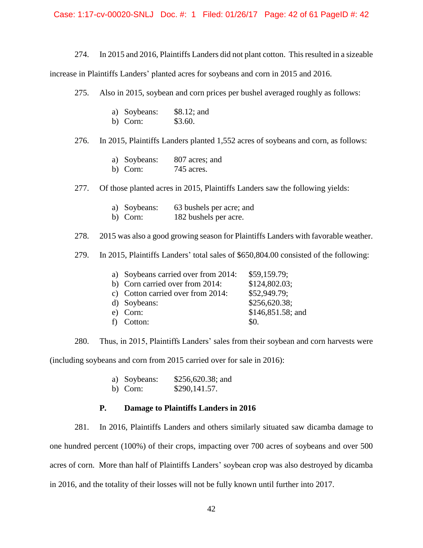## Case: 1:17-cv-00020-SNLJ Doc. #: 1 Filed: 01/26/17 Page: 42 of 61 PageID #: 42

274. In 2015 and 2016, Plaintiffs Landers did not plant cotton. This resulted in a sizeable

increase in Plaintiffs Landers' planted acres for soybeans and corn in 2015 and 2016.

275. Also in 2015, soybean and corn prices per bushel averaged roughly as follows:

| a) Soybeans: | $$8.12;$ and |
|--------------|--------------|
| b) Corn:     | \$3.60.      |

276. In 2015, Plaintiffs Landers planted 1,552 acres of soybeans and corn, as follows:

|  | a) Soybeans: |  | 807 acres; and |  |
|--|--------------|--|----------------|--|
|--|--------------|--|----------------|--|

b) Corn: 745 acres.

277. Of those planted acres in 2015, Plaintiffs Landers saw the following yields:

| 63 bushels per acre; and<br>a) Soybeans: |  |
|------------------------------------------|--|
|------------------------------------------|--|

b) Corn: 182 bushels per acre.

278. 2015 was also a good growing season for Plaintiffs Landers with favorable weather.

279. In 2015, Plaintiffs Landers' total sales of \$650,804.00 consisted of the following:

| a) Soybeans carried over from 2014: | \$59,159.79;        |
|-------------------------------------|---------------------|
| b) Corn carried over from 2014:     | \$124,802.03;       |
| c) Cotton carried over from 2014:   | \$52,949.79;        |
| d) Soybeans:                        | \$256,620.38;       |
| e) Corn:                            | $$146,851.58$ ; and |
| f) Cotton:                          | \$0.                |

280. Thus, in 2015, Plaintiffs Landers' sales from their soybean and corn harvests were (including soybeans and corn from 2015 carried over for sale in 2016):

- a) Soybeans: \$256,620.38; and
- b) Corn: \$290,141.57.

## **P. Damage to Plaintiffs Landers in 2016**

281. In 2016, Plaintiffs Landers and others similarly situated saw dicamba damage to one hundred percent (100%) of their crops, impacting over 700 acres of soybeans and over 500 acres of corn. More than half of Plaintiffs Landers' soybean crop was also destroyed by dicamba in 2016, and the totality of their losses will not be fully known until further into 2017.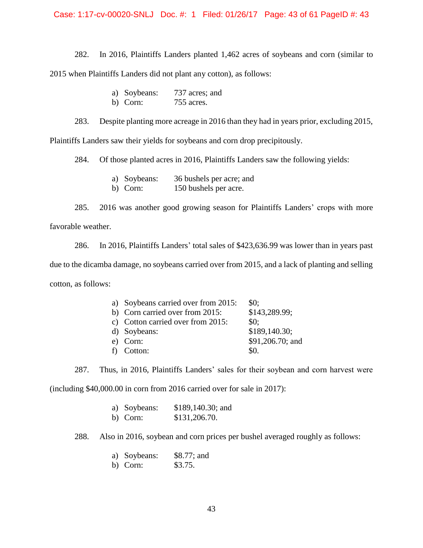## Case: 1:17-cv-00020-SNLJ Doc. #: 1 Filed: 01/26/17 Page: 43 of 61 PageID #: 43

282. In 2016, Plaintiffs Landers planted 1,462 acres of soybeans and corn (similar to 2015 when Plaintiffs Landers did not plant any cotton), as follows:

| a) Soybeans: | 737 acres; and |
|--------------|----------------|
| b) Corn:     | 755 acres.     |

283. Despite planting more acreage in 2016 than they had in years prior, excluding 2015,

Plaintiffs Landers saw their yields for soybeans and corn drop precipitously.

284. Of those planted acres in 2016, Plaintiffs Landers saw the following yields:

- a) Soybeans: 36 bushels per acre; and
- b) Corn: 150 bushels per acre.

285. 2016 was another good growing season for Plaintiffs Landers' crops with more favorable weather.

286. In 2016, Plaintiffs Landers' total sales of \$423,636.99 was lower than in years past due to the dicamba damage, no soybeans carried over from 2015, and a lack of planting and selling cotton, as follows:

| a) Soybeans carried over from 2015: | \$0:             |
|-------------------------------------|------------------|
| b) Corn carried over from 2015:     | \$143,289.99;    |
| c) Cotton carried over from 2015:   | \$0:             |
| d) Soybeans:                        | \$189,140.30;    |
| e) Corn:                            | \$91,206.70; and |
| f) Cotton:                          | \$0.             |

287. Thus, in 2016, Plaintiffs Landers' sales for their soybean and corn harvest were

(including \$40,000.00 in corn from 2016 carried over for sale in 2017):

| a) Soybeans: | \$189,140.30; and |
|--------------|-------------------|
| b) Corn:     | \$131,206.70.     |

288. Also in 2016, soybean and corn prices per bushel averaged roughly as follows:

- a) Soybeans: \$8.77; and
- b) Corn: \$3.75.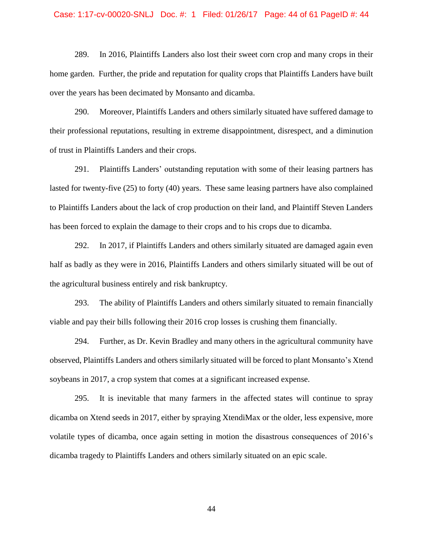## Case: 1:17-cv-00020-SNLJ Doc. #: 1 Filed: 01/26/17 Page: 44 of 61 PageID #: 44

289. In 2016, Plaintiffs Landers also lost their sweet corn crop and many crops in their home garden. Further, the pride and reputation for quality crops that Plaintiffs Landers have built over the years has been decimated by Monsanto and dicamba.

290. Moreover, Plaintiffs Landers and others similarly situated have suffered damage to their professional reputations, resulting in extreme disappointment, disrespect, and a diminution of trust in Plaintiffs Landers and their crops.

291. Plaintiffs Landers' outstanding reputation with some of their leasing partners has lasted for twenty-five (25) to forty (40) years. These same leasing partners have also complained to Plaintiffs Landers about the lack of crop production on their land, and Plaintiff Steven Landers has been forced to explain the damage to their crops and to his crops due to dicamba.

292. In 2017, if Plaintiffs Landers and others similarly situated are damaged again even half as badly as they were in 2016, Plaintiffs Landers and others similarly situated will be out of the agricultural business entirely and risk bankruptcy.

293. The ability of Plaintiffs Landers and others similarly situated to remain financially viable and pay their bills following their 2016 crop losses is crushing them financially.

294. Further, as Dr. Kevin Bradley and many others in the agricultural community have observed, Plaintiffs Landers and others similarly situated will be forced to plant Monsanto's Xtend soybeans in 2017, a crop system that comes at a significant increased expense.

295. It is inevitable that many farmers in the affected states will continue to spray dicamba on Xtend seeds in 2017, either by spraying XtendiMax or the older, less expensive, more volatile types of dicamba, once again setting in motion the disastrous consequences of 2016's dicamba tragedy to Plaintiffs Landers and others similarly situated on an epic scale.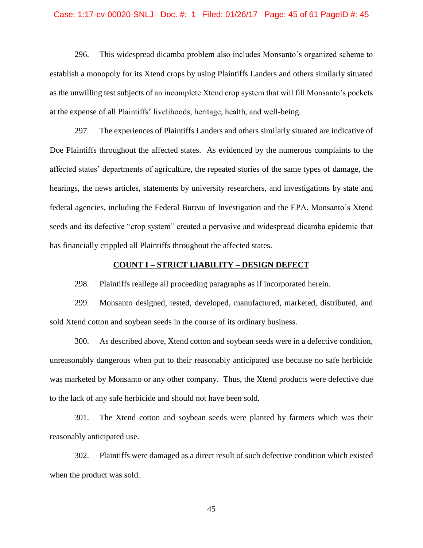#### Case: 1:17-cv-00020-SNLJ Doc. #: 1 Filed: 01/26/17 Page: 45 of 61 PageID #: 45

296. This widespread dicamba problem also includes Monsanto's organized scheme to establish a monopoly for its Xtend crops by using Plaintiffs Landers and others similarly situated as the unwilling test subjects of an incomplete Xtend crop system that will fill Monsanto's pockets at the expense of all Plaintiffs' livelihoods, heritage, health, and well-being.

297. The experiences of Plaintiffs Landers and others similarly situated are indicative of Doe Plaintiffs throughout the affected states. As evidenced by the numerous complaints to the affected states' departments of agriculture, the repeated stories of the same types of damage, the hearings, the news articles, statements by university researchers, and investigations by state and federal agencies, including the Federal Bureau of Investigation and the EPA, Monsanto's Xtend seeds and its defective "crop system" created a pervasive and widespread dicamba epidemic that has financially crippled all Plaintiffs throughout the affected states.

## **COUNT I – STRICT LIABILITY – DESIGN DEFECT**

298. Plaintiffs reallege all proceeding paragraphs as if incorporated herein.

299. Monsanto designed, tested, developed, manufactured, marketed, distributed, and sold Xtend cotton and soybean seeds in the course of its ordinary business.

300. As described above, Xtend cotton and soybean seeds were in a defective condition, unreasonably dangerous when put to their reasonably anticipated use because no safe herbicide was marketed by Monsanto or any other company. Thus, the Xtend products were defective due to the lack of any safe herbicide and should not have been sold.

301. The Xtend cotton and soybean seeds were planted by farmers which was their reasonably anticipated use.

302. Plaintiffs were damaged as a direct result of such defective condition which existed when the product was sold.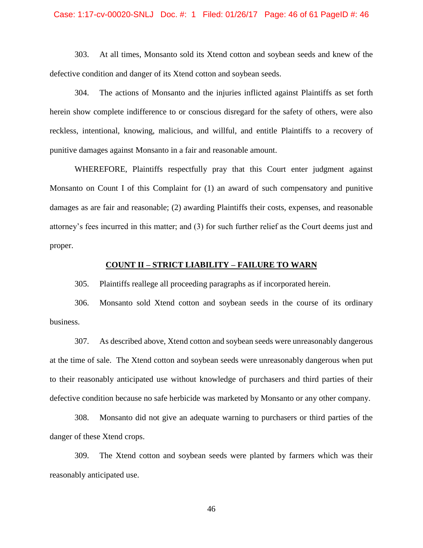#### Case: 1:17-cv-00020-SNLJ Doc. #: 1 Filed: 01/26/17 Page: 46 of 61 PageID #: 46

303. At all times, Monsanto sold its Xtend cotton and soybean seeds and knew of the defective condition and danger of its Xtend cotton and soybean seeds.

304. The actions of Monsanto and the injuries inflicted against Plaintiffs as set forth herein show complete indifference to or conscious disregard for the safety of others, were also reckless, intentional, knowing, malicious, and willful, and entitle Plaintiffs to a recovery of punitive damages against Monsanto in a fair and reasonable amount.

WHEREFORE, Plaintiffs respectfully pray that this Court enter judgment against Monsanto on Count I of this Complaint for (1) an award of such compensatory and punitive damages as are fair and reasonable; (2) awarding Plaintiffs their costs, expenses, and reasonable attorney's fees incurred in this matter; and (3) for such further relief as the Court deems just and proper.

### **COUNT II – STRICT LIABILITY – FAILURE TO WARN**

305. Plaintiffs reallege all proceeding paragraphs as if incorporated herein.

306. Monsanto sold Xtend cotton and soybean seeds in the course of its ordinary business.

307. As described above, Xtend cotton and soybean seeds were unreasonably dangerous at the time of sale. The Xtend cotton and soybean seeds were unreasonably dangerous when put to their reasonably anticipated use without knowledge of purchasers and third parties of their defective condition because no safe herbicide was marketed by Monsanto or any other company.

308. Monsanto did not give an adequate warning to purchasers or third parties of the danger of these Xtend crops.

309. The Xtend cotton and soybean seeds were planted by farmers which was their reasonably anticipated use.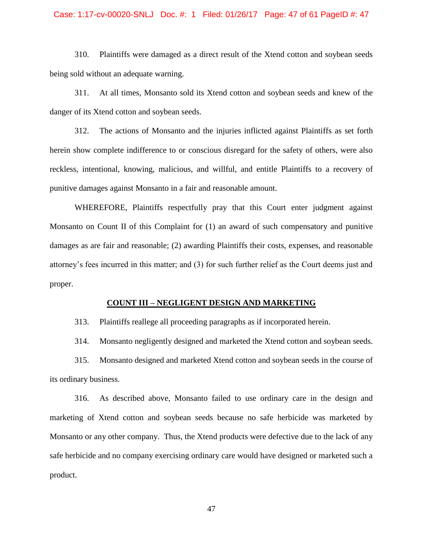#### Case: 1:17-cv-00020-SNLJ Doc. #: 1 Filed: 01/26/17 Page: 47 of 61 PageID #: 47

310. Plaintiffs were damaged as a direct result of the Xtend cotton and soybean seeds being sold without an adequate warning.

311. At all times, Monsanto sold its Xtend cotton and soybean seeds and knew of the danger of its Xtend cotton and soybean seeds.

312. The actions of Monsanto and the injuries inflicted against Plaintiffs as set forth herein show complete indifference to or conscious disregard for the safety of others, were also reckless, intentional, knowing, malicious, and willful, and entitle Plaintiffs to a recovery of punitive damages against Monsanto in a fair and reasonable amount.

WHEREFORE, Plaintiffs respectfully pray that this Court enter judgment against Monsanto on Count II of this Complaint for (1) an award of such compensatory and punitive damages as are fair and reasonable; (2) awarding Plaintiffs their costs, expenses, and reasonable attorney's fees incurred in this matter; and (3) for such further relief as the Court deems just and proper.

### **COUNT III – NEGLIGENT DESIGN AND MARKETING**

313. Plaintiffs reallege all proceeding paragraphs as if incorporated herein.

314. Monsanto negligently designed and marketed the Xtend cotton and soybean seeds.

315. Monsanto designed and marketed Xtend cotton and soybean seeds in the course of its ordinary business.

316. As described above, Monsanto failed to use ordinary care in the design and marketing of Xtend cotton and soybean seeds because no safe herbicide was marketed by Monsanto or any other company. Thus, the Xtend products were defective due to the lack of any safe herbicide and no company exercising ordinary care would have designed or marketed such a product.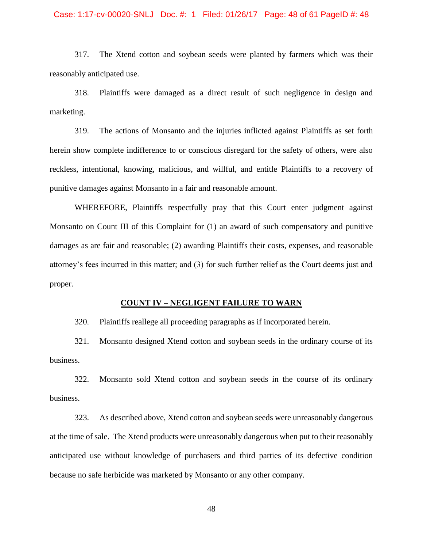#### Case: 1:17-cv-00020-SNLJ Doc. #: 1 Filed: 01/26/17 Page: 48 of 61 PageID #: 48

317. The Xtend cotton and soybean seeds were planted by farmers which was their reasonably anticipated use.

318. Plaintiffs were damaged as a direct result of such negligence in design and marketing.

319. The actions of Monsanto and the injuries inflicted against Plaintiffs as set forth herein show complete indifference to or conscious disregard for the safety of others, were also reckless, intentional, knowing, malicious, and willful, and entitle Plaintiffs to a recovery of punitive damages against Monsanto in a fair and reasonable amount.

WHEREFORE, Plaintiffs respectfully pray that this Court enter judgment against Monsanto on Count III of this Complaint for (1) an award of such compensatory and punitive damages as are fair and reasonable; (2) awarding Plaintiffs their costs, expenses, and reasonable attorney's fees incurred in this matter; and (3) for such further relief as the Court deems just and proper.

## **COUNT IV – NEGLIGENT FAILURE TO WARN**

320. Plaintiffs reallege all proceeding paragraphs as if incorporated herein.

321. Monsanto designed Xtend cotton and soybean seeds in the ordinary course of its business.

322. Monsanto sold Xtend cotton and soybean seeds in the course of its ordinary business.

323. As described above, Xtend cotton and soybean seeds were unreasonably dangerous at the time of sale. The Xtend products were unreasonably dangerous when put to their reasonably anticipated use without knowledge of purchasers and third parties of its defective condition because no safe herbicide was marketed by Monsanto or any other company.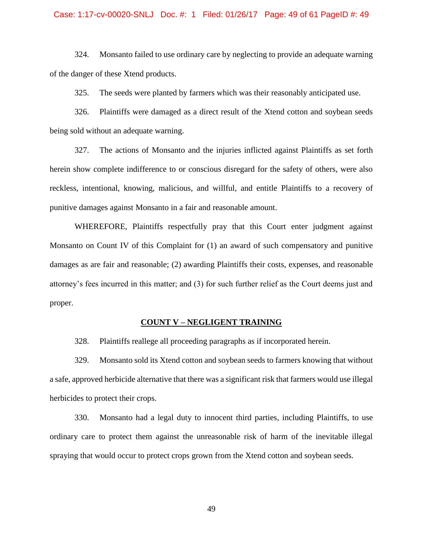#### Case: 1:17-cv-00020-SNLJ Doc. #: 1 Filed: 01/26/17 Page: 49 of 61 PageID #: 49

324. Monsanto failed to use ordinary care by neglecting to provide an adequate warning of the danger of these Xtend products.

325. The seeds were planted by farmers which was their reasonably anticipated use.

326. Plaintiffs were damaged as a direct result of the Xtend cotton and soybean seeds being sold without an adequate warning.

327. The actions of Monsanto and the injuries inflicted against Plaintiffs as set forth herein show complete indifference to or conscious disregard for the safety of others, were also reckless, intentional, knowing, malicious, and willful, and entitle Plaintiffs to a recovery of punitive damages against Monsanto in a fair and reasonable amount.

WHEREFORE, Plaintiffs respectfully pray that this Court enter judgment against Monsanto on Count IV of this Complaint for (1) an award of such compensatory and punitive damages as are fair and reasonable; (2) awarding Plaintiffs their costs, expenses, and reasonable attorney's fees incurred in this matter; and (3) for such further relief as the Court deems just and proper.

#### **COUNT V – NEGLIGENT TRAINING**

328. Plaintiffs reallege all proceeding paragraphs as if incorporated herein.

329. Monsanto sold its Xtend cotton and soybean seeds to farmers knowing that without a safe, approved herbicide alternative that there was a significant risk that farmers would use illegal herbicides to protect their crops.

330. Monsanto had a legal duty to innocent third parties, including Plaintiffs, to use ordinary care to protect them against the unreasonable risk of harm of the inevitable illegal spraying that would occur to protect crops grown from the Xtend cotton and soybean seeds.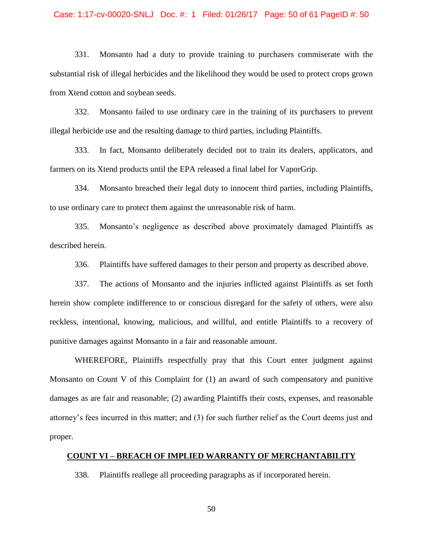## Case: 1:17-cv-00020-SNLJ Doc. #: 1 Filed: 01/26/17 Page: 50 of 61 PageID #: 50

331. Monsanto had a duty to provide training to purchasers commiserate with the substantial risk of illegal herbicides and the likelihood they would be used to protect crops grown from Xtend cotton and soybean seeds.

332. Monsanto failed to use ordinary care in the training of its purchasers to prevent illegal herbicide use and the resulting damage to third parties, including Plaintiffs.

333. In fact, Monsanto deliberately decided not to train its dealers, applicators, and farmers on its Xtend products until the EPA released a final label for VaporGrip.

334. Monsanto breached their legal duty to innocent third parties, including Plaintiffs, to use ordinary care to protect them against the unreasonable risk of harm.

335. Monsanto's negligence as described above proximately damaged Plaintiffs as described herein.

336. Plaintiffs have suffered damages to their person and property as described above.

337. The actions of Monsanto and the injuries inflicted against Plaintiffs as set forth herein show complete indifference to or conscious disregard for the safety of others, were also reckless, intentional, knowing, malicious, and willful, and entitle Plaintiffs to a recovery of punitive damages against Monsanto in a fair and reasonable amount.

WHEREFORE, Plaintiffs respectfully pray that this Court enter judgment against Monsanto on Count V of this Complaint for (1) an award of such compensatory and punitive damages as are fair and reasonable; (2) awarding Plaintiffs their costs, expenses, and reasonable attorney's fees incurred in this matter; and (3) for such further relief as the Court deems just and proper.

## **COUNT VI – BREACH OF IMPLIED WARRANTY OF MERCHANTABILITY**

338. Plaintiffs reallege all proceeding paragraphs as if incorporated herein.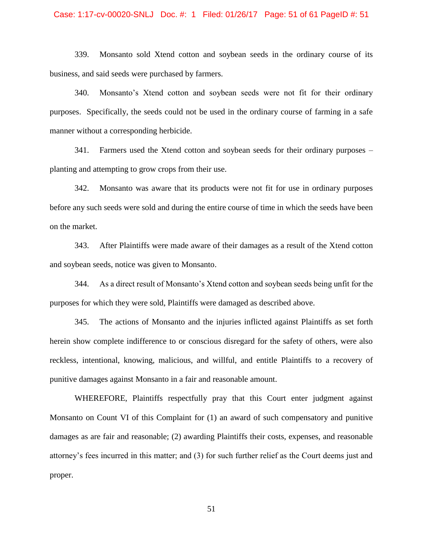#### Case: 1:17-cv-00020-SNLJ Doc. #: 1 Filed: 01/26/17 Page: 51 of 61 PageID #: 51

339. Monsanto sold Xtend cotton and soybean seeds in the ordinary course of its business, and said seeds were purchased by farmers.

340. Monsanto's Xtend cotton and soybean seeds were not fit for their ordinary purposes. Specifically, the seeds could not be used in the ordinary course of farming in a safe manner without a corresponding herbicide.

341. Farmers used the Xtend cotton and soybean seeds for their ordinary purposes – planting and attempting to grow crops from their use.

342. Monsanto was aware that its products were not fit for use in ordinary purposes before any such seeds were sold and during the entire course of time in which the seeds have been on the market.

343. After Plaintiffs were made aware of their damages as a result of the Xtend cotton and soybean seeds, notice was given to Monsanto.

344. As a direct result of Monsanto's Xtend cotton and soybean seeds being unfit for the purposes for which they were sold, Plaintiffs were damaged as described above.

345. The actions of Monsanto and the injuries inflicted against Plaintiffs as set forth herein show complete indifference to or conscious disregard for the safety of others, were also reckless, intentional, knowing, malicious, and willful, and entitle Plaintiffs to a recovery of punitive damages against Monsanto in a fair and reasonable amount.

WHEREFORE, Plaintiffs respectfully pray that this Court enter judgment against Monsanto on Count VI of this Complaint for (1) an award of such compensatory and punitive damages as are fair and reasonable; (2) awarding Plaintiffs their costs, expenses, and reasonable attorney's fees incurred in this matter; and (3) for such further relief as the Court deems just and proper.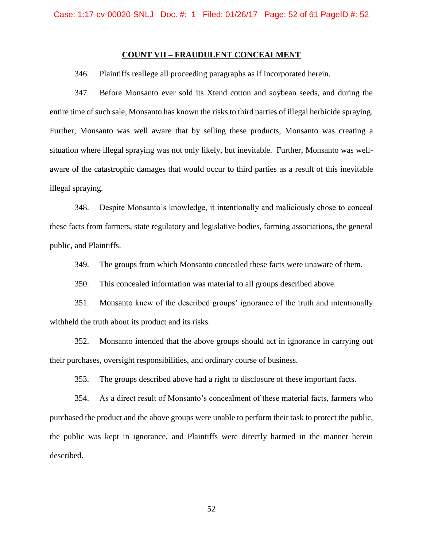## **COUNT VII – FRAUDULENT CONCEALMENT**

346. Plaintiffs reallege all proceeding paragraphs as if incorporated herein.

347. Before Monsanto ever sold its Xtend cotton and soybean seeds, and during the entire time of such sale, Monsanto has known the risks to third parties of illegal herbicide spraying. Further, Monsanto was well aware that by selling these products, Monsanto was creating a situation where illegal spraying was not only likely, but inevitable. Further, Monsanto was wellaware of the catastrophic damages that would occur to third parties as a result of this inevitable illegal spraying.

348. Despite Monsanto's knowledge, it intentionally and maliciously chose to conceal these facts from farmers, state regulatory and legislative bodies, farming associations, the general public, and Plaintiffs.

349. The groups from which Monsanto concealed these facts were unaware of them.

350. This concealed information was material to all groups described above.

351. Monsanto knew of the described groups' ignorance of the truth and intentionally withheld the truth about its product and its risks.

352. Monsanto intended that the above groups should act in ignorance in carrying out their purchases, oversight responsibilities, and ordinary course of business.

353. The groups described above had a right to disclosure of these important facts.

354. As a direct result of Monsanto's concealment of these material facts, farmers who purchased the product and the above groups were unable to perform their task to protect the public, the public was kept in ignorance, and Plaintiffs were directly harmed in the manner herein described.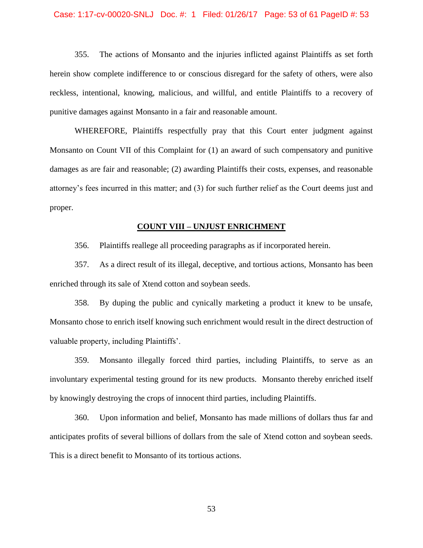#### Case: 1:17-cv-00020-SNLJ Doc. #: 1 Filed: 01/26/17 Page: 53 of 61 PageID #: 53

355. The actions of Monsanto and the injuries inflicted against Plaintiffs as set forth herein show complete indifference to or conscious disregard for the safety of others, were also reckless, intentional, knowing, malicious, and willful, and entitle Plaintiffs to a recovery of punitive damages against Monsanto in a fair and reasonable amount.

WHEREFORE, Plaintiffs respectfully pray that this Court enter judgment against Monsanto on Count VII of this Complaint for (1) an award of such compensatory and punitive damages as are fair and reasonable; (2) awarding Plaintiffs their costs, expenses, and reasonable attorney's fees incurred in this matter; and (3) for such further relief as the Court deems just and proper.

### **COUNT VIII – UNJUST ENRICHMENT**

356. Plaintiffs reallege all proceeding paragraphs as if incorporated herein.

357. As a direct result of its illegal, deceptive, and tortious actions, Monsanto has been enriched through its sale of Xtend cotton and soybean seeds.

358. By duping the public and cynically marketing a product it knew to be unsafe, Monsanto chose to enrich itself knowing such enrichment would result in the direct destruction of valuable property, including Plaintiffs'.

359. Monsanto illegally forced third parties, including Plaintiffs, to serve as an involuntary experimental testing ground for its new products. Monsanto thereby enriched itself by knowingly destroying the crops of innocent third parties, including Plaintiffs.

360. Upon information and belief, Monsanto has made millions of dollars thus far and anticipates profits of several billions of dollars from the sale of Xtend cotton and soybean seeds. This is a direct benefit to Monsanto of its tortious actions.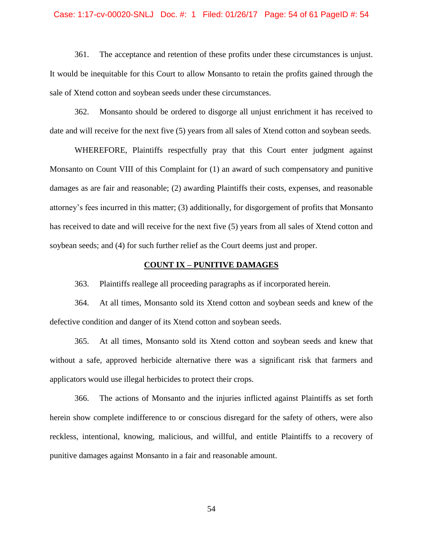#### Case: 1:17-cv-00020-SNLJ Doc. #: 1 Filed: 01/26/17 Page: 54 of 61 PageID #: 54

361. The acceptance and retention of these profits under these circumstances is unjust. It would be inequitable for this Court to allow Monsanto to retain the profits gained through the sale of Xtend cotton and soybean seeds under these circumstances.

362. Monsanto should be ordered to disgorge all unjust enrichment it has received to date and will receive for the next five (5) years from all sales of Xtend cotton and soybean seeds.

WHEREFORE, Plaintiffs respectfully pray that this Court enter judgment against Monsanto on Count VIII of this Complaint for (1) an award of such compensatory and punitive damages as are fair and reasonable; (2) awarding Plaintiffs their costs, expenses, and reasonable attorney's fees incurred in this matter; (3) additionally, for disgorgement of profits that Monsanto has received to date and will receive for the next five (5) years from all sales of Xtend cotton and soybean seeds; and (4) for such further relief as the Court deems just and proper.

## **COUNT IX – PUNITIVE DAMAGES**

363. Plaintiffs reallege all proceeding paragraphs as if incorporated herein.

364. At all times, Monsanto sold its Xtend cotton and soybean seeds and knew of the defective condition and danger of its Xtend cotton and soybean seeds.

365. At all times, Monsanto sold its Xtend cotton and soybean seeds and knew that without a safe, approved herbicide alternative there was a significant risk that farmers and applicators would use illegal herbicides to protect their crops.

366. The actions of Monsanto and the injuries inflicted against Plaintiffs as set forth herein show complete indifference to or conscious disregard for the safety of others, were also reckless, intentional, knowing, malicious, and willful, and entitle Plaintiffs to a recovery of punitive damages against Monsanto in a fair and reasonable amount.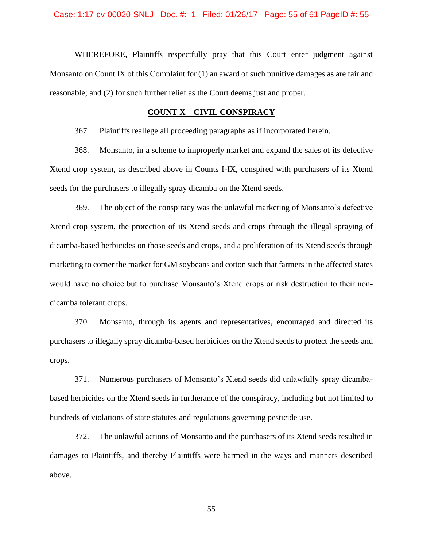WHEREFORE, Plaintiffs respectfully pray that this Court enter judgment against Monsanto on Count IX of this Complaint for (1) an award of such punitive damages as are fair and reasonable; and (2) for such further relief as the Court deems just and proper.

## **COUNT X – CIVIL CONSPIRACY**

367. Plaintiffs reallege all proceeding paragraphs as if incorporated herein.

368. Monsanto, in a scheme to improperly market and expand the sales of its defective Xtend crop system, as described above in Counts I-IX, conspired with purchasers of its Xtend seeds for the purchasers to illegally spray dicamba on the Xtend seeds.

369. The object of the conspiracy was the unlawful marketing of Monsanto's defective Xtend crop system, the protection of its Xtend seeds and crops through the illegal spraying of dicamba-based herbicides on those seeds and crops, and a proliferation of its Xtend seeds through marketing to corner the market for GM soybeans and cotton such that farmers in the affected states would have no choice but to purchase Monsanto's Xtend crops or risk destruction to their nondicamba tolerant crops.

370. Monsanto, through its agents and representatives, encouraged and directed its purchasers to illegally spray dicamba-based herbicides on the Xtend seeds to protect the seeds and crops.

371. Numerous purchasers of Monsanto's Xtend seeds did unlawfully spray dicambabased herbicides on the Xtend seeds in furtherance of the conspiracy, including but not limited to hundreds of violations of state statutes and regulations governing pesticide use.

372. The unlawful actions of Monsanto and the purchasers of its Xtend seeds resulted in damages to Plaintiffs, and thereby Plaintiffs were harmed in the ways and manners described above.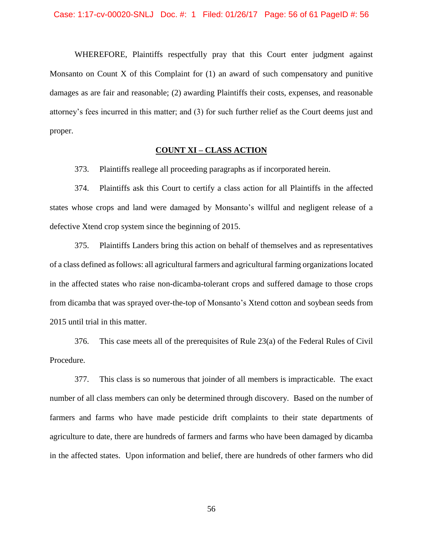WHEREFORE, Plaintiffs respectfully pray that this Court enter judgment against Monsanto on Count  $X$  of this Complaint for  $(1)$  an award of such compensatory and punitive damages as are fair and reasonable; (2) awarding Plaintiffs their costs, expenses, and reasonable attorney's fees incurred in this matter; and (3) for such further relief as the Court deems just and proper.

## **COUNT XI – CLASS ACTION**

373. Plaintiffs reallege all proceeding paragraphs as if incorporated herein.

374. Plaintiffs ask this Court to certify a class action for all Plaintiffs in the affected states whose crops and land were damaged by Monsanto's willful and negligent release of a defective Xtend crop system since the beginning of 2015.

375. Plaintiffs Landers bring this action on behalf of themselves and as representatives of a class defined as follows: all agricultural farmers and agricultural farming organizations located in the affected states who raise non-dicamba-tolerant crops and suffered damage to those crops from dicamba that was sprayed over-the-top of Monsanto's Xtend cotton and soybean seeds from 2015 until trial in this matter.

376. This case meets all of the prerequisites of Rule 23(a) of the Federal Rules of Civil Procedure.

377. This class is so numerous that joinder of all members is impracticable. The exact number of all class members can only be determined through discovery. Based on the number of farmers and farms who have made pesticide drift complaints to their state departments of agriculture to date, there are hundreds of farmers and farms who have been damaged by dicamba in the affected states. Upon information and belief, there are hundreds of other farmers who did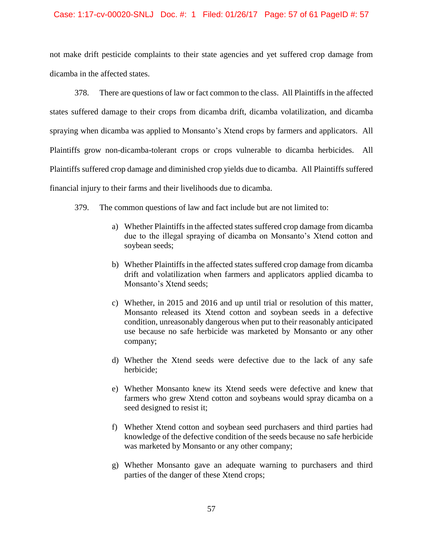### Case: 1:17-cv-00020-SNLJ Doc. #: 1 Filed: 01/26/17 Page: 57 of 61 PageID #: 57

not make drift pesticide complaints to their state agencies and yet suffered crop damage from dicamba in the affected states.

378. There are questions of law or fact common to the class. All Plaintiffs in the affected states suffered damage to their crops from dicamba drift, dicamba volatilization, and dicamba spraying when dicamba was applied to Monsanto's Xtend crops by farmers and applicators. All Plaintiffs grow non-dicamba-tolerant crops or crops vulnerable to dicamba herbicides. All Plaintiffs suffered crop damage and diminished crop yields due to dicamba. All Plaintiffs suffered financial injury to their farms and their livelihoods due to dicamba.

- 379. The common questions of law and fact include but are not limited to:
	- a) Whether Plaintiffs in the affected states suffered crop damage from dicamba due to the illegal spraying of dicamba on Monsanto's Xtend cotton and soybean seeds;
	- b) Whether Plaintiffs in the affected states suffered crop damage from dicamba drift and volatilization when farmers and applicators applied dicamba to Monsanto's Xtend seeds;
	- c) Whether, in 2015 and 2016 and up until trial or resolution of this matter, Monsanto released its Xtend cotton and soybean seeds in a defective condition, unreasonably dangerous when put to their reasonably anticipated use because no safe herbicide was marketed by Monsanto or any other company;
	- d) Whether the Xtend seeds were defective due to the lack of any safe herbicide;
	- e) Whether Monsanto knew its Xtend seeds were defective and knew that farmers who grew Xtend cotton and soybeans would spray dicamba on a seed designed to resist it;
	- f) Whether Xtend cotton and soybean seed purchasers and third parties had knowledge of the defective condition of the seeds because no safe herbicide was marketed by Monsanto or any other company;
	- g) Whether Monsanto gave an adequate warning to purchasers and third parties of the danger of these Xtend crops;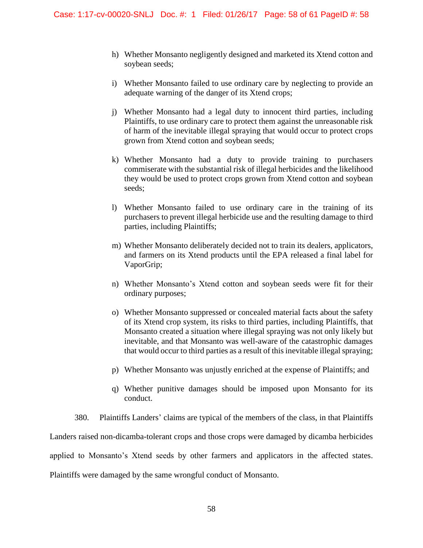- h) Whether Monsanto negligently designed and marketed its Xtend cotton and soybean seeds;
- i) Whether Monsanto failed to use ordinary care by neglecting to provide an adequate warning of the danger of its Xtend crops;
- j) Whether Monsanto had a legal duty to innocent third parties, including Plaintiffs, to use ordinary care to protect them against the unreasonable risk of harm of the inevitable illegal spraying that would occur to protect crops grown from Xtend cotton and soybean seeds;
- k) Whether Monsanto had a duty to provide training to purchasers commiserate with the substantial risk of illegal herbicides and the likelihood they would be used to protect crops grown from Xtend cotton and soybean seeds;
- l) Whether Monsanto failed to use ordinary care in the training of its purchasers to prevent illegal herbicide use and the resulting damage to third parties, including Plaintiffs;
- m) Whether Monsanto deliberately decided not to train its dealers, applicators, and farmers on its Xtend products until the EPA released a final label for VaporGrip;
- n) Whether Monsanto's Xtend cotton and soybean seeds were fit for their ordinary purposes;
- o) Whether Monsanto suppressed or concealed material facts about the safety of its Xtend crop system, its risks to third parties, including Plaintiffs, that Monsanto created a situation where illegal spraying was not only likely but inevitable, and that Monsanto was well-aware of the catastrophic damages that would occur to third parties as a result of this inevitable illegal spraying;
- p) Whether Monsanto was unjustly enriched at the expense of Plaintiffs; and
- q) Whether punitive damages should be imposed upon Monsanto for its conduct.

380. Plaintiffs Landers' claims are typical of the members of the class, in that Plaintiffs Landers raised non-dicamba-tolerant crops and those crops were damaged by dicamba herbicides applied to Monsanto's Xtend seeds by other farmers and applicators in the affected states. Plaintiffs were damaged by the same wrongful conduct of Monsanto.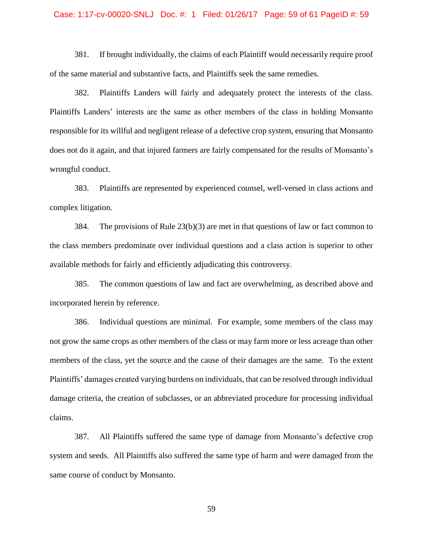#### Case: 1:17-cv-00020-SNLJ Doc. #: 1 Filed: 01/26/17 Page: 59 of 61 PageID #: 59

381. If brought individually, the claims of each Plaintiff would necessarily require proof of the same material and substantive facts, and Plaintiffs seek the same remedies.

382. Plaintiffs Landers will fairly and adequately protect the interests of the class. Plaintiffs Landers' interests are the same as other members of the class in holding Monsanto responsible for its willful and negligent release of a defective crop system, ensuring that Monsanto does not do it again, and that injured farmers are fairly compensated for the results of Monsanto's wrongful conduct.

383. Plaintiffs are represented by experienced counsel, well-versed in class actions and complex litigation.

384. The provisions of Rule  $23(b)(3)$  are met in that questions of law or fact common to the class members predominate over individual questions and a class action is superior to other available methods for fairly and efficiently adjudicating this controversy.

385. The common questions of law and fact are overwhelming, as described above and incorporated herein by reference.

386. Individual questions are minimal. For example, some members of the class may not grow the same crops as other members of the class or may farm more or less acreage than other members of the class, yet the source and the cause of their damages are the same. To the extent Plaintiffs' damages created varying burdens on individuals, that can be resolved through individual damage criteria, the creation of subclasses, or an abbreviated procedure for processing individual claims.

387. All Plaintiffs suffered the same type of damage from Monsanto's defective crop system and seeds. All Plaintiffs also suffered the same type of harm and were damaged from the same course of conduct by Monsanto.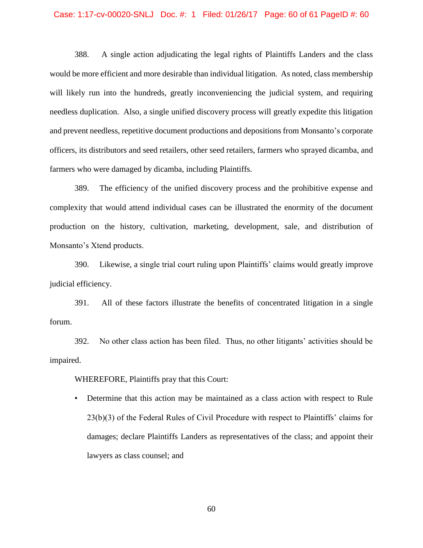#### Case: 1:17-cv-00020-SNLJ Doc. #: 1 Filed: 01/26/17 Page: 60 of 61 PageID #: 60

388. A single action adjudicating the legal rights of Plaintiffs Landers and the class would be more efficient and more desirable than individual litigation. As noted, class membership will likely run into the hundreds, greatly inconveniencing the judicial system, and requiring needless duplication. Also, a single unified discovery process will greatly expedite this litigation and prevent needless, repetitive document productions and depositions from Monsanto's corporate officers, its distributors and seed retailers, other seed retailers, farmers who sprayed dicamba, and farmers who were damaged by dicamba, including Plaintiffs.

389. The efficiency of the unified discovery process and the prohibitive expense and complexity that would attend individual cases can be illustrated the enormity of the document production on the history, cultivation, marketing, development, sale, and distribution of Monsanto's Xtend products.

390. Likewise, a single trial court ruling upon Plaintiffs' claims would greatly improve judicial efficiency.

391. All of these factors illustrate the benefits of concentrated litigation in a single forum.

392. No other class action has been filed. Thus, no other litigants' activities should be impaired.

WHEREFORE, Plaintiffs pray that this Court:

• Determine that this action may be maintained as a class action with respect to Rule 23(b)(3) of the Federal Rules of Civil Procedure with respect to Plaintiffs' claims for damages; declare Plaintiffs Landers as representatives of the class; and appoint their lawyers as class counsel; and